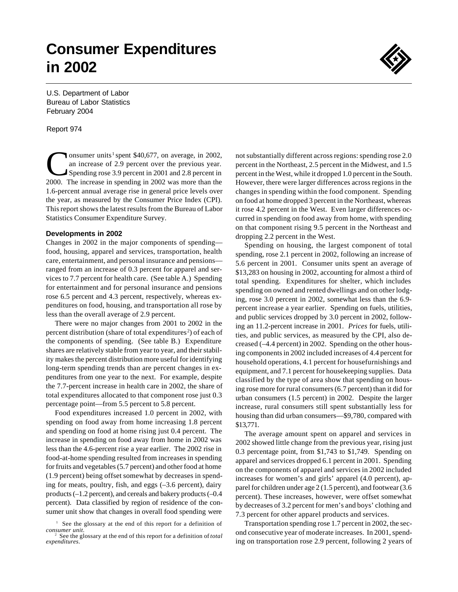# **Consumer Expenditures in 2002**



U.S. Department of Labor Bureau of Labor Statistics February 2004

Report 974

 $\overline{\mathbf{C}}$ onsumer units<sup>1</sup> spent \$40,677, on average, in 2002, an increase of 2.9 percent over the previous year. Spending rose 3.9 percent in 2001 and 2.8 percent in 2000. The increase in spending in 2002 was more than the 1.6-percent annual average rise in general price levels over the year, as measured by the Consumer Price Index (CPI). This report shows the latest results from the Bureau of Labor Statistics Consumer Expenditure Survey.

#### **Developments in 2002**

Changes in 2002 in the major components of spending food, housing, apparel and services, transportation, health care, entertainment, and personal insurance and pensions ranged from an increase of 0.3 percent for apparel and services to 7.7 percent for health care. (See table A.) Spending for entertainment and for personal insurance and pensions rose 6.5 percent and 4.3 percent, respectively, whereas expenditures on food, housing, and transportation all rose by less than the overall average of 2.9 percent.

There were no major changes from 2001 to 2002 in the percent distribution (share of total expenditures <sup>2</sup> ) of each of the components of spending. (See table B.) Expenditure shares are relatively stable from year to year, and their stability makes the percent distribution more useful for identifying long-term spending trends than are percent changes in expenditures from one year to the next. For example, despite the 7.7-percent increase in health care in 2002, the share of total expenditures allocated to that component rose just 0.3 percentage point—from 5.5 percent to 5.8 percent.

Food expenditures increased 1.0 percent in 2002, with spending on food away from home increasing 1.8 percent and spending on food at home rising just 0.4 percent. The increase in spending on food away from home in 2002 was less than the 4.6-percent rise a year earlier. The 2002 rise in food-at-home spending resulted from increases in spending for fruits and vegetables (5.7 percent) and other food at home (1.9 percent) being offset somewhat by decreases in spending for meats, poultry, fish, and eggs (–3.6 percent), dairy products (–1.2 percent), and cereals and bakery products (–0.4 percent). Data classified by region of residence of the consumer unit show that changes in overall food spending were not substantially different across regions: spending rose 2.0 percent in the Northeast, 2.5 percent in the Midwest, and 1.5 percent in the West, while it dropped 1.0 percent in the South. However, there were larger differences across regions in the changes in spending within the food component. Spending on food at home dropped 3 percent in the Northeast, whereas it rose 4.2 percent in the West. Even larger differences occurred in spending on food away from home, with spending on that component rising 9.5 percent in the Northeast and dropping 2.2 percent in the West.

Spending on housing, the largest component of total spending, rose 2.1 percent in 2002, following an increase of 5.6 percent in 2001. Consumer units spent an average of \$13,283 on housing in 2002, accounting for almost a third of total spending. Expenditures for shelter, which includes spending on owned and rented dwellings and on other lodging, rose 3.0 percent in 2002, somewhat less than the 6.9 percent increase a year earlier. Spending on fuels, utilities, and public services dropped by 3.0 percent in 2002, following an 11.2-percent increase in 2001. *Prices* for fuels, utilities, and public services, as measured by the CPI, also decreased (–4.4 percent) in 2002. Spending on the other housing components in 2002 included increases of 4.4 percent for household operations, 4.1 percent for housefurnishings and equipment, and 7.1 percent for housekeeping supplies. Data classified by the type of area show that spending on housing rose more for rural consumers (6.7 percent) than it did for urban consumers (1.5 percent) in 2002. Despite the larger increase, rural consumers still spent substantially less for housing than did urban consumers—\$9,780, compared with \$13,771.

The average amount spent on apparel and services in 2002 showed little change from the previous year, rising just 0.3 percentage point, from \$1,743 to \$1,749. Spending on apparel and services dropped 6.1 percent in 2001. Spending on the components of apparel and services in 2002 included increases for women's and girls' apparel (4.0 percent), apparel for children under age 2 (1.5 percent), and footwear (3.6 percent). These increases, however, were offset somewhat by decreases of 3.2 percent for men's and boys' clothing and 7.3 percent for other apparel products and services.

Transportation spending rose 1.7 percent in 2002, the second consecutive year of moderate increases. In 2001, spending on transportation rose 2.9 percent, following 2 years of

<sup>&</sup>lt;sup>1</sup> See the glossary at the end of this report for a definition of *consumer unit*.

<sup>2</sup> See the glossary at the end of this report for a definition of *total expenditures*.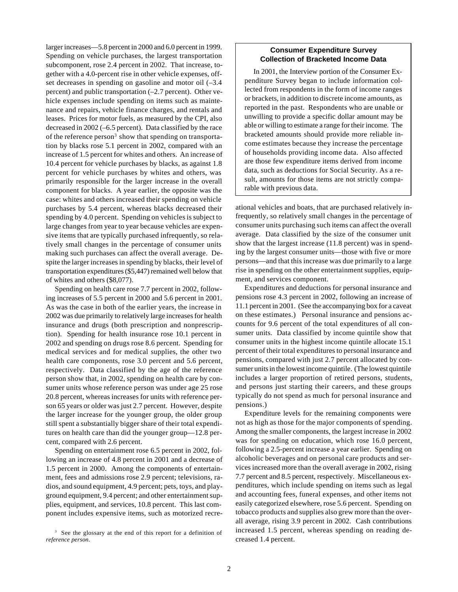larger increases—5.8 percent in 2000 and 6.0 percent in 1999. Spending on vehicle purchases, the largest transportation subcomponent, rose 2.4 percent in 2002. That increase, together with a 4.0-percent rise in other vehicle expenses, offset decreases in spending on gasoline and motor oil  $(-3.4)$ percent) and public transportation (–2.7 percent). Other vehicle expenses include spending on items such as maintenance and repairs, vehicle finance charges, and rentals and leases. Prices for motor fuels, as measured by the CPI, also decreased in 2002 (–6.5 percent). Data classified by the race of the reference person<sup>3</sup> show that spending on transportation by blacks rose 5.1 percent in 2002, compared with an increase of 1.5 percent for whites and others. An increase of 10.4 percent for vehicle purchases by blacks, as against 1.8 percent for vehicle purchases by whites and others, was primarily responsible for the larger increase in the overall component for blacks. A year earlier, the opposite was the case: whites and others increased their spending on vehicle purchases by 5.4 percent, whereas blacks decreased their spending by 4.0 percent. Spending on vehicles is subject to large changes from year to year because vehicles are expensive items that are typically purchased infrequently, so relatively small changes in the percentage of consumer units making such purchases can affect the overall average. Despite the larger increases in spending by blacks, their level of transportation expenditures (\$5,447) remained well below that of whites and others (\$8,077).

Spending on health care rose 7.7 percent in 2002, following increases of 5.5 percent in 2000 and 5.6 percent in 2001. As was the case in both of the earlier years, the increase in 2002 was due primarily to relatively large increases for health insurance and drugs (both prescription and nonprescription). Spending for health insurance rose 10.1 percent in 2002 and spending on drugs rose 8.6 percent. Spending for medical services and for medical supplies, the other two health care components, rose 3.0 percent and 5.6 percent, respectively. Data classified by the age of the reference person show that, in 2002, spending on health care by consumer units whose reference person was under age 25 rose 20.8 percent, whereas increases for units with reference person 65 years or older was just 2.7 percent. However, despite the larger increase for the younger group, the older group still spent a substantially bigger share of their total expenditures on health care than did the younger group—12.8 percent, compared with 2.6 percent.

Spending on entertainment rose 6.5 percent in 2002, following an increase of 4.8 percent in 2001 and a decrease of 1.5 percent in 2000. Among the components of entertainment, fees and admissions rose 2.9 percent; televisions, radios, and sound equipment, 4.9 percent; pets, toys, and playground equipment, 9.4 percent; and other entertainment supplies, equipment, and services, 10.8 percent. This last component includes expensive items, such as motorized recre-

<sup>3</sup> See the glossary at the end of this report for a definition of *reference person*.

#### **Consumer Expenditure Survey Collection of Bracketed Income Data**

In 2001, the Interview portion of the Consumer Expenditure Survey began to include information collected from respondents in the form of income ranges or brackets, in addition to discrete income amounts, as reported in the past. Respondents who are unable or unwilling to provide a specific dollar amount may be able or willing to estimate a range for their income. The bracketed amounts should provide more reliable income estimates because they increase the percentage of households providing income data. Also affected are those few expenditure items derived from income data, such as deductions for Social Security. As a result, amounts for those items are not strictly comparable with previous data.

ational vehicles and boats, that are purchased relatively infrequently, so relatively small changes in the percentage of consumer units purchasing such items can affect the overall average. Data classified by the size of the consumer unit show that the largest increase (11.8 percent) was in spending by the largest consumer units—those with five or more persons—and that this increase was due primarily to a large rise in spending on the other entertainment supplies, equipment, and services component.

Expenditures and deductions for personal insurance and pensions rose 4.3 percent in 2002, following an increase of 11.1 percent in 2001. (See the accompanying box for a caveat on these estimates.) Personal insurance and pensions accounts for 9.6 percent of the total expenditures of all consumer units. Data classified by income quintile show that consumer units in the highest income quintile allocate 15.1 percent of their total expenditures to personal insurance and pensions, compared with just 2.7 percent allocated by consumer units in the lowest income quintile. (The lowest quintile includes a larger proportion of retired persons, students, and persons just starting their careers, and these groups typically do not spend as much for personal insurance and pensions.)

Expenditure levels for the remaining components were not as high as those for the major components of spending. Among the smaller components, the largest increase in 2002 was for spending on education, which rose 16.0 percent, following a 2.5-percent increase a year earlier. Spending on alcoholic beverages and on personal care products and services increased more than the overall average in 2002, rising 7.7 percent and 8.5 percent, respectively. Miscellaneous expenditures, which include spending on items such as legal and accounting fees, funeral expenses, and other items not easily categorized elsewhere, rose 5.6 percent. Spending on tobacco products and supplies also grew more than the overall average, rising 3.9 percent in 2002. Cash contributions increased 1.5 percent, whereas spending on reading decreased 1.4 percent.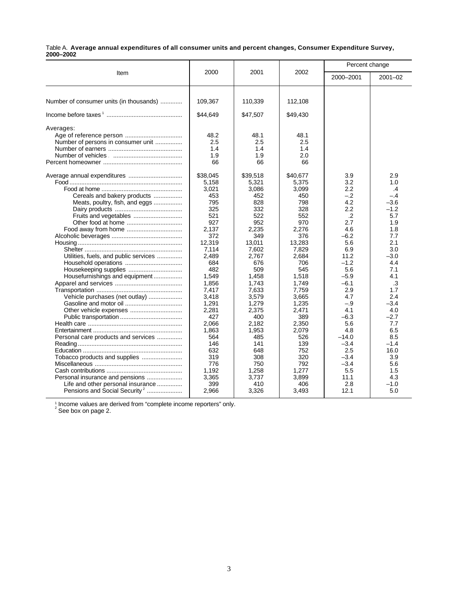|           | Table A. Average annual expenditures of all consumer units and percent changes, Consumer Expenditure Survey, |  |
|-----------|--------------------------------------------------------------------------------------------------------------|--|
| 2000-2002 |                                                                                                              |  |

|                                                                                                                                                                                                                                                    |                                                                                                                                                                                                                                                    |                                                                                                                                                                                                                                                    | Percent change<br>2000-2001                                                                                                                                                                                                                    |                                                                                                                                                                                                                                               |
|----------------------------------------------------------------------------------------------------------------------------------------------------------------------------------------------------------------------------------------------------|----------------------------------------------------------------------------------------------------------------------------------------------------------------------------------------------------------------------------------------------------|----------------------------------------------------------------------------------------------------------------------------------------------------------------------------------------------------------------------------------------------------|------------------------------------------------------------------------------------------------------------------------------------------------------------------------------------------------------------------------------------------------|-----------------------------------------------------------------------------------------------------------------------------------------------------------------------------------------------------------------------------------------------|
|                                                                                                                                                                                                                                                    |                                                                                                                                                                                                                                                    |                                                                                                                                                                                                                                                    |                                                                                                                                                                                                                                                | $2001 - 02$                                                                                                                                                                                                                                   |
| 109,367                                                                                                                                                                                                                                            | 110,339                                                                                                                                                                                                                                            | 112,108                                                                                                                                                                                                                                            |                                                                                                                                                                                                                                                |                                                                                                                                                                                                                                               |
| \$44,649                                                                                                                                                                                                                                           | \$47,507                                                                                                                                                                                                                                           | \$49,430                                                                                                                                                                                                                                           |                                                                                                                                                                                                                                                |                                                                                                                                                                                                                                               |
| 48.2<br>2.5<br>1.4<br>1.9                                                                                                                                                                                                                          | 48.1<br>2.5<br>1.4<br>1.9                                                                                                                                                                                                                          | 48.1<br>2.5<br>1.4<br>2.0                                                                                                                                                                                                                          |                                                                                                                                                                                                                                                |                                                                                                                                                                                                                                               |
| \$38,045<br>5,158<br>3,021<br>453<br>795<br>325<br>521<br>927<br>2.137<br>372<br>12.319<br>7,114<br>2,489<br>684<br>482<br>1.549<br>1,856<br>7,417<br>3,418<br>1,291<br>2.281<br>427<br>2,066<br>1,863<br>564<br>146<br>632<br>319<br>776<br>1,192 | \$39,518<br>5,321<br>3,086<br>452<br>828<br>332<br>522<br>952<br>2.235<br>349<br>13.011<br>7,602<br>2,767<br>676<br>509<br>1,458<br>1,743<br>7,633<br>3,579<br>1,279<br>2.375<br>400<br>2.182<br>1,953<br>485<br>141<br>648<br>308<br>750<br>1,258 | \$40,677<br>5,375<br>3,099<br>450<br>798<br>328<br>552<br>970<br>2,276<br>376<br>13.283<br>7,829<br>2.684<br>706<br>545<br>1,518<br>1,749<br>7,759<br>3,665<br>1,235<br>2.471<br>389<br>2.350<br>2,079<br>526<br>139<br>752<br>320<br>792<br>1,277 | 3.9<br>3.2<br>2.2<br>$-.2$<br>4.2<br>2.2<br>.2<br>2.7<br>4.6<br>$-6.2$<br>5.6<br>6.9<br>11.2<br>$-1.2$<br>5.6<br>$-5.9$<br>$-6.1$<br>2.9<br>4.7<br>$-.9$<br>4.1<br>$-6.3$<br>5.6<br>4.8<br>$-14.0$<br>$-3.4$<br>2.5<br>$-3.4$<br>$-3.4$<br>5.5 | 2.9<br>1.0<br>$\cdot$<br>$-.4$<br>$-3.6$<br>$-1.2$<br>5.7<br>1.9<br>1.8<br>7.7<br>2.1<br>3.0<br>$-3.0$<br>4.4<br>7.1<br>4.1<br>.3<br>1.7<br>2.4<br>$-3.4$<br>4.0<br>$-2.7$<br>7.7<br>6.5<br>8.5<br>$-1.4$<br>16.0<br>3.9<br>5.6<br>1.5<br>4.3 |
|                                                                                                                                                                                                                                                    | 2000<br>66<br>3,365<br>399                                                                                                                                                                                                                         | 2001<br>66<br>3,737                                                                                                                                                                                                                                | 2002<br>66<br>3,899                                                                                                                                                                                                                            | 11.1<br>2.8<br>410<br>406                                                                                                                                                                                                                     |

<sup>1</sup> Income values are derived from "complete income reporters" only.<br><sup>2</sup> See box on page 2.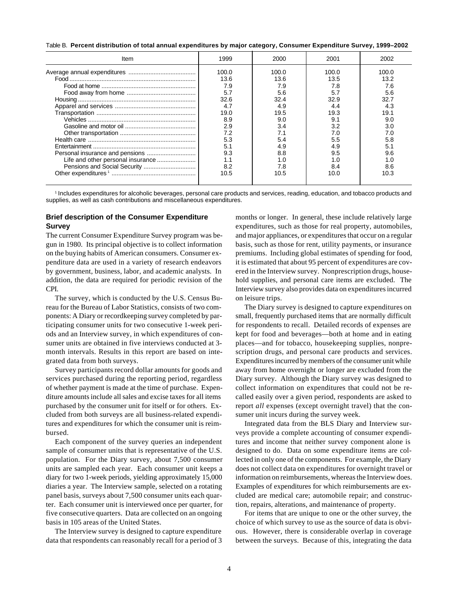Table B. **Percent distribution of total annual expenditures by major category, Consumer Expenditure Survey, 1999–2002**

| Item | 1999  | 2000  | 2001  | 2002  |
|------|-------|-------|-------|-------|
|      | 100.0 | 100.0 | 100.0 | 100.0 |
|      | 13.6  | 136   | 13.5  | 13.2  |
|      | 7.9   | 7.9   | 7.8   | 7.6   |
|      | 5.7   | 5.6   | 5.7   | 5.6   |
|      | 32.6  | 32.4  | 32.9  | 32.7  |
|      | 4.7   | 4.9   |       | 4.3   |
|      | 19.0  | 19.5  | 19.3  | 19.1  |
|      | 8.9   | 9.0   | 9.1   | 9.0   |
|      | 2.9   | 3.4   | 3.2   | 3.0   |
|      | 7.2   |       | 7.0   | 7.0   |
|      | 5.3   | 5.4   | 5.5   | 5.8   |
|      | 5.1   | 4.9   | 4.9   |       |
|      | 9.3   | 8.8   | 9.5   | 9.6   |
|      | 1.1   | 1.0   |       | 1. በ  |
|      | 8.2   | 7.8   | 8.4   | 8.6   |
|      | 10.5  | 10.5  | 10.0  | 10.3  |
|      |       |       |       |       |

1 Includes expenditures for alcoholic beverages, personal care products and services, reading, education, and tobacco products and supplies, as well as cash contributions and miscellaneous expenditures.

#### **Brief description of the Consumer Expenditure Survey**

The current Consumer Expenditure Survey program was begun in 1980. Its principal objective is to collect information on the buying habits of American consumers. Consumer expenditure data are used in a variety of research endeavors by government, business, labor, and academic analysts. In addition, the data are required for periodic revision of the CPI.

The survey, which is conducted by the U.S. Census Bureau for the Bureau of Labor Statistics, consists of two components: A Diary or recordkeeping survey completed by participating consumer units for two consecutive 1-week periods and an Interview survey, in which expenditures of consumer units are obtained in five interviews conducted at 3 month intervals. Results in this report are based on integrated data from both surveys.

Survey participants record dollar amounts for goods and services purchased during the reporting period, regardless of whether payment is made at the time of purchase. Expenditure amounts include all sales and excise taxes for all items purchased by the consumer unit for itself or for others. Excluded from both surveys are all business-related expenditures and expenditures for which the consumer unit is reimbursed.

Each component of the survey queries an independent sample of consumer units that is representative of the U.S. population. For the Diary survey, about 7,500 consumer units are sampled each year. Each consumer unit keeps a diary for two 1-week periods, yielding approximately 15,000 diaries a year. The Interview sample, selected on a rotating panel basis, surveys about 7,500 consumer units each quarter. Each consumer unit is interviewed once per quarter, for five consecutive quarters. Data are collected on an ongoing basis in 105 areas of the United States.

The Interview survey is designed to capture expenditure data that respondents can reasonably recall for a period of 3 months or longer. In general, these include relatively large expenditures, such as those for real property, automobiles, and major appliances, or expenditures that occur on a regular basis, such as those for rent, utility payments, or insurance premiums. Including global estimates of spending for food, it is estimated that about 95 percent of expenditures are covered in the Interview survey. Nonprescription drugs, household supplies, and personal care items are excluded. The Interview survey also provides data on expenditures incurred on leisure trips.

The Diary survey is designed to capture expenditures on small, frequently purchased items that are normally difficult for respondents to recall. Detailed records of expenses are kept for food and beverages—both at home and in eating places—and for tobacco, housekeeping supplies, nonprescription drugs, and personal care products and services. Expenditures incurred by members of the consumer unit while away from home overnight or longer are excluded from the Diary survey. Although the Diary survey was designed to collect information on expenditures that could not be recalled easily over a given period, respondents are asked to report *all* expenses (except overnight travel) that the consumer unit incurs during the survey week.

Integrated data from the BLS Diary and Interview surveys provide a complete accounting of consumer expenditures and income that neither survey component alone is designed to do. Data on some expenditure items are collected in only one of the components. For example, the Diary does not collect data on expenditures for overnight travel or information on reimbursements, whereas the Interview does. Examples of expenditures for which reimbursements are excluded are medical care; automobile repair; and construction, repairs, alterations, and maintenance of property.

For items that are unique to one or the other survey, the choice of which survey to use as the source of data is obvious. However, there is considerable overlap in coverage between the surveys. Because of this, integrating the data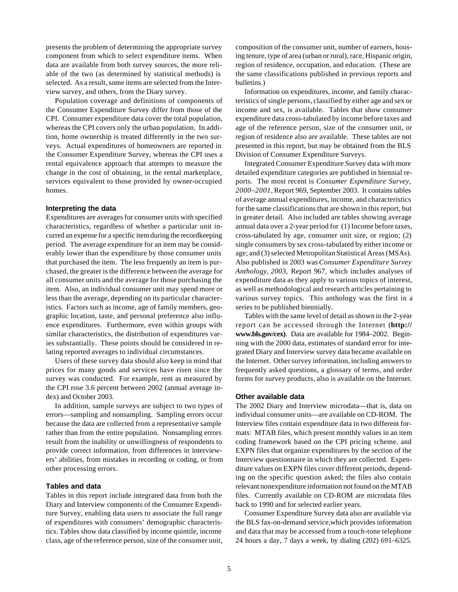presents the problem of determining the appropriate survey component from which to select expenditure items. When data are available from both survey sources, the more reliable of the two (as determined by statistical methods) is selected. As a result, some items are selected from the Interview survey, and others, from the Diary survey.

Population coverage and definitions of components of the Consumer Expenditure Survey differ from those of the CPI. Consumer expenditure data cover the total population, whereas the CPI covers only the urban population. In addition, home ownership is treated differently in the two surveys. Actual expenditures of homeowners are reported in the Consumer Expenditure Survey, whereas the CPI uses a rental equivalence approach that attempts to measure the change in the cost of obtaining, in the rental marketplace, services equivalent to those provided by owner-occupied homes.

#### **Interpreting the data**

Expenditures are averages for consumer units with specified characteristics, regardless of whether a particular unit incurred an expense for a specific item during the recordkeeping period. The average expenditure for an item may be considerably lower than the expenditure by those consumer units that purchased the item. The less frequently an item is purchased, the greater is the difference between the average for all consumer units and the average for those purchasing the item. Also, an individual consumer unit may spend more or less than the average, depending on its particular characteristics. Factors such as income, age of family members, geographic location, taste, and personal preference also influence expenditures. Furthermore, even within groups with similar characteristics, the distribution of expenditures varies substantially. These points should be considered in relating reported averages to individual circumstances.

Users of these survey data should also keep in mind that prices for many goods and services have risen since the survey was conducted. For example, rent as measured by the CPI rose 3.6 percent between 2002 (annual average index) and October 2003.

In addition, sample surveys are subject to two types of errors—sampling and nonsampling. Sampling errors occur because the data are collected from a representative sample rather than from the entire population. Nonsampling errors result from the inability or unwillingness of respondents to provide correct information, from differences in interviewers' abilities, from mistakes in recording or coding, or from other processing errors.

#### **Tables and data**

Tables in this report include integrated data from both the Diary and Interview components of the Consumer Expenditure Survey, enabling data users to associate the full range of expenditures with consumers' demographic characteristics. Tables show data classified by income quintile, income class, age of the reference person, size of the consumer unit, composition of the consumer unit, number of earners, housing tenure, type of area (urban or rural), race, Hispanic origin, region of residence, occupation, and education. (These are the same classifications published in previous reports and bulletins.)

Information on expenditures, income, and family characteristics of single persons, classified by either age and sex or income and sex, is available. Tables that show consumer expenditure data cross-tabulated by income before taxes and age of the reference person, size of the consumer unit, or region of residence also are available. These tables are not presented in this report, but may be obtained from the BLS Division of Consumer Expenditure Surveys.

Integrated Consumer Expenditure Survey data with more detailed expenditure categories are published in biennial reports. The most recent is *Consumer Expenditure Survey, 2000–2001,* Report 969, September 2003. It contains tables of average annual expenditures, income, and characteristics for the same classifications that are shown in this report, but in greater detail. Also included are tables showing average annual data over a 2-year period for (1) Income before taxes, cross-tabulated by age, consumer unit size, or region; (2) single consumers by sex cross-tabulated by either income or age; and (3) selected Metropolitan Statistical Areas (MSAs). Also published in 2003 was *Consumer Expenditure Survey Anthology, 2003,* Report 967, which includes analyses of expenditure data as they apply to various topics of interest, as well as methodological and research articles pertaining to various survey topics. This anthology was the first in a series to be published biennially.

Tables with the same level of detail as shown in the 2-year report can be accessed through the Internet (**http:// www.bls.gov/cex)**. Data are available for 1984–2002. Beginning with the 2000 data, estimates of standard error for integrated Diary and Interview survey data became available on the Internet. Other survey information, including answers to frequently asked questions, a glossary of terms, and order forms for survey products, also is available on the Internet.

#### **Other available data**

The 2002 Diary and Interview microdata—that is, data on individual consumer units—are available on CD-ROM. The Interview files contain expenditure data in two different formats: MTAB files, which present monthly values in an item coding framework based on the CPI pricing scheme, and EXPN files that organize expenditures by the section of the Interview questionnaire in which they are collected. Expenditure values on EXPN files cover different periods, depending on the specific question asked; the files also contain relevant nonexpenditure information not found on the MTAB files. Currently available on CD-ROM are microdata files back to 1990 and for selected earlier years.

Consumer Expenditure Survey data also are available via the BLS fax-on-demand service,which provides information and data that may be accessed from a touch-tone telephone 24 hours a day, 7 days a week, by dialing (202) 691–6325.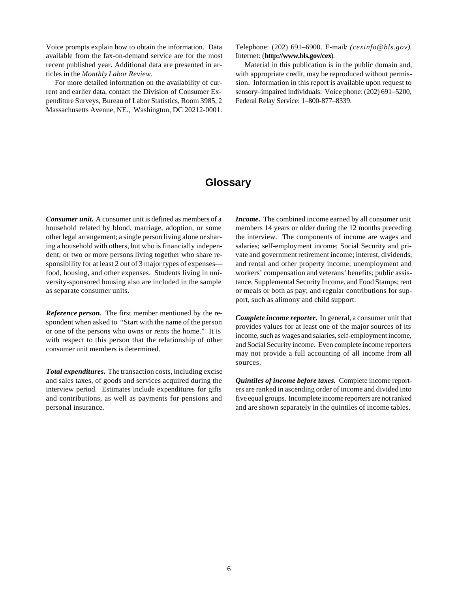Voice prompts explain how to obtain the information. Data available from the fax-on-demand service are for the most recent published year. Additional data are presented in articles in the *Monthly Labor Review*.

For more detailed information on the availability of current and earlier data, contact the Division of Consumer Expenditure Surveys, Bureau of Labor Statistics, Room 3985, 2 Massachusetts Avenue, NE., Washington, DC 20212-0001.

Telephone: (202) 691–6900. E-mail*: (cexinfo@bls.gov)*. Internet: (**http://www.bls.gov/cex**).

Material in this publication is in the public domain and, with appropriate credit, may be reproduced without permission. Information in this report is available upon request to sensory–impaired individuals: Voice phone: (202) 691–5200, Federal Relay Service: 1–800-877–8339.

# **Glossary**

*Consumer unit.* A consumer unit is defined as members of a household related by blood, marriage, adoption, or some other legal arrangement; a single person living alone or sharing a household with others, but who is financially independent; or two or more persons living together who share responsibility for at least 2 out of 3 major types of expenses food, housing, and other expenses. Students living in university-sponsored housing also are included in the sample as separate consumer units.

*Reference person***.** The first member mentioned by the respondent when asked to "Start with the name of the person or one of the persons who owns or rents the home." It is with respect to this person that the relationship of other consumer unit members is determined.

*Total expenditures***.** The transaction costs, including excise and sales taxes, of goods and services acquired during the interview period. Estimates include expenditures for gifts and contributions, as well as payments for pensions and personal insurance.

*Income***.** The combined income earned by all consumer unit members 14 years or older during the 12 months preceding the interview. The components of income are wages and salaries; self-employment income; Social Security and private and government retirement income; interest, dividends, and rental and other property income; unemployment and workers' compensation and veterans' benefits; public assistance, Supplemental Security Income, and Food Stamps; rent or meals or both as pay; and regular contributions for support, such as alimony and child support.

*Complete income reporter***.** In general, a consumer unit that provides values for at least one of the major sources of its income, such as wages and salaries, self-employment income, and Social Security income. Even complete income reporters may not provide a full accounting of all income from all sources.

*Quintiles of income before taxes.* Complete income reporters are ranked in ascending order of income and divided into five equal groups. Incomplete income reporters are not ranked and are shown separately in the quintiles of income tables.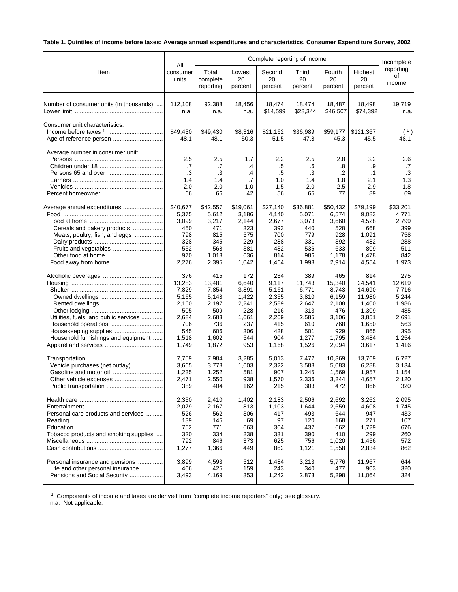# **Table 1. Quintiles of income before taxes: Average annual expenditures and characteristics, Consumer Expenditure Survey, 2002**

|                                         |                                     | Complete reporting of income        |                                    |                                         |                                     |                                          |                                            |                                     |  |
|-----------------------------------------|-------------------------------------|-------------------------------------|------------------------------------|-----------------------------------------|-------------------------------------|------------------------------------------|--------------------------------------------|-------------------------------------|--|
| Item                                    | All                                 | Total                               | Lowest                             | Second                                  | Third                               | Fourth                                   | Highest                                    | reporting                           |  |
|                                         | consumer                            | complete                            | 20                                 | 20                                      | 20                                  | 20                                       | 20                                         | οf                                  |  |
|                                         | units                               | reporting                           | percent                            | percent                                 | percent                             | percent                                  | percent                                    | income                              |  |
| Number of consumer units (in thousands) | 112,108                             | 92,388                              | 18,456                             | 18,474                                  | 18.474                              | 18,487                                   | 18,498                                     | 19,719                              |  |
|                                         | n.a.                                | n.a.                                | n.a.                               | \$14,599                                | \$28,344                            | \$46,507                                 | \$74,392                                   | n.a.                                |  |
| Consumer unit characteristics:          | \$49,430<br>48.1                    | \$49,430<br>48.1                    | \$8,316<br>50.3                    | \$21,162<br>51.5                        | \$36,989<br>47.8                    | \$59,177<br>45.3                         | \$121,367<br>45.5                          | (1)<br>48.1                         |  |
| Average number in consumer unit:        | 2.5<br>.7<br>.3<br>1.4<br>2.0<br>66 | 2.5<br>.7<br>.3<br>1.4<br>2.0<br>66 | 1.7<br>.4<br>.4<br>.7<br>1.0<br>42 | $2.2\,$<br>.5<br>.5<br>1.0<br>1.5<br>56 | 2.5<br>.6<br>.3<br>1.4<br>2.0<br>65 | 2.8<br>.8<br>$\cdot$<br>1.8<br>2.5<br>77 | 3.2<br>.9<br>$\cdot$ 1<br>2.1<br>2.9<br>89 | 2.6<br>.7<br>.3<br>1.3<br>1.8<br>69 |  |
| Average annual expenditures             | \$40,677                            | \$42,557                            | \$19,061                           | \$27,140                                | \$36,881                            | \$50,432                                 | \$79,199                                   | \$33,201                            |  |
|                                         | 5,375                               | 5,612                               | 3,186                              | 4,140                                   | 5,071                               | 6,574                                    | 9,083                                      | 4,771                               |  |
|                                         | 3,099                               | 3,217                               | 2,144                              | 2,677                                   | 3,073                               | 3,660                                    | 4,528                                      | 2,799                               |  |
| Cereals and bakery products             | 450                                 | 471                                 | 323                                | 393                                     | 440                                 | 528                                      | 668                                        | 399                                 |  |
| Meats, poultry, fish, and eggs          | 798                                 | 815                                 | 575                                | 700                                     | 779                                 | 928                                      | 1,091                                      | 758                                 |  |
|                                         | 328                                 | 345                                 | 229                                | 288                                     | 331                                 | 392                                      | 482                                        | 288                                 |  |
|                                         | 552                                 | 568                                 | 381                                | 482                                     | 536                                 | 633                                      | 809                                        | 511                                 |  |
|                                         | 970                                 | 1,018                               | 636                                | 814                                     | 986                                 | 1,178                                    | 1,478                                      | 842                                 |  |
| Food away from home                     | 2,276                               | 2,395                               | 1,042                              | 1,464                                   | 1,998                               | 2,914                                    | 4,554                                      | 1,973                               |  |
|                                         | 376                                 | 415                                 | 172                                | 234                                     | 389                                 | 465                                      | 814                                        | 275                                 |  |
|                                         | 13,283                              | 13,481                              | 6,640                              | 9,117                                   | 11,743                              | 15,340                                   | 24,541                                     | 12,619                              |  |
|                                         | 7,829                               | 7,854                               | 3,891                              | 5,161                                   | 6,771                               | 8,743                                    | 14,690                                     | 7,716                               |  |
|                                         | 5,165                               | 5,148                               | 1,422                              | 2,355                                   | 3,810                               | 6,159                                    | 11,980                                     | 5,244                               |  |
|                                         | 2,160                               | 2,197                               | 2,241                              | 2,589                                   | 2,647                               | 2,108                                    | 1,400                                      | 1,986                               |  |
|                                         | 505                                 | 509                                 | 228                                | 216                                     | 313                                 | 476                                      | 1,309                                      | 485                                 |  |
| Utilities, fuels, and public services   | 2,684                               | 2,683                               | 1,661                              | 2,209                                   | 2,585                               | 3,106                                    | 3,851                                      | 2,691                               |  |
|                                         | 706                                 | 736                                 | 237                                | 415                                     | 610                                 | 768                                      | 1,650                                      | 563                                 |  |
|                                         | 545                                 | 606                                 | 306                                | 428                                     | 501                                 | 929                                      | 865                                        | 395                                 |  |
| Household furnishings and equipment     | 1,518                               | 1,602                               | 544                                | 904                                     | 1,277                               | 1,795                                    | 3,484                                      | 1,254                               |  |
|                                         | 1,749                               | 1,872                               | 953                                | 1,168                                   | 1,526                               | 2,094                                    | 3,617                                      | 1,416                               |  |
|                                         | 7,759                               | 7,984                               | 3,285                              | 5,013                                   | 7,472                               | 10,369                                   | 13,769                                     | 6,727                               |  |
| Vehicle purchases (net outlay)          | 3,665                               | 3,778                               | 1,603                              | 2,322                                   | 3,588                               | 5,083                                    | 6,288                                      | 3,134                               |  |
|                                         | 1,235                               | 1,252                               | 581                                | 907                                     | 1,245                               | 1,569                                    | 1,957                                      | 1,154                               |  |
| Other vehicle expenses                  | 2,471                               | 2,550                               | 938                                | 1,570                                   | 2,336                               | 3,244                                    | 4,657                                      | 2,120                               |  |
| Public transportation                   | 389                                 | 404                                 | 162                                | 215                                     | 303                                 | 472                                      | 866                                        | 320                                 |  |
|                                         | 2,350                               | 2,410                               | 1,402                              | 2,183                                   | 2,506                               | 2.692                                    | 3,262                                      | 2,095                               |  |
|                                         | 2,079                               | 2,167                               | 813                                | 1,103                                   | 1,644                               | 2,659                                    | 4,608                                      | 1,745                               |  |
| Personal care products and services     | 526                                 | 562                                 | 306                                | 417                                     | 493                                 | 644                                      | 947                                        | 433                                 |  |
|                                         | 139                                 | 145                                 | 69                                 | 97                                      | 120                                 | 168                                      | 271                                        | 107                                 |  |
|                                         | 752                                 | 771                                 | 663                                | 364                                     | 437                                 | 662                                      | 1,729                                      | 676                                 |  |
| Tobacco products and smoking supplies   | 320                                 | 334                                 | 238                                | 331                                     | 390                                 | 410                                      | 299                                        | 260                                 |  |
|                                         | 792                                 | 846                                 | 373                                | 625                                     | 756                                 | 1,020                                    | 1,456                                      | 572                                 |  |
|                                         | 1,277                               | 1,366                               | 449                                | 862                                     | 1,121                               | 1,558                                    | 2,834                                      | 862                                 |  |
| Personal insurance and pensions         | 3,899                               | 4,593                               | 512                                | 1,484                                   | 3,213                               | 5,776                                    | 11,967                                     | 644                                 |  |
| Life and other personal insurance       | 406                                 | 425                                 | 159                                | 243                                     | 340                                 | 477                                      | 903                                        | 320                                 |  |
| Pensions and Social Security            | 3,493                               | 4,169                               | 353                                | 1,242                                   | 2,873                               | 5,298                                    | 11,064                                     | 324                                 |  |

<sup>1</sup> Components of income and taxes are derived from "complete income reporters" only; see glossary.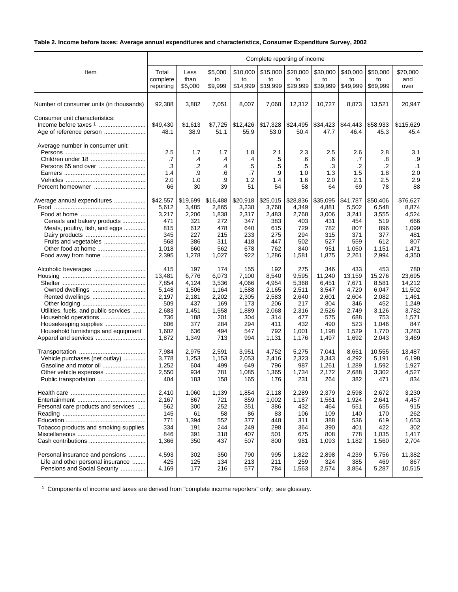# **Table 2. Income before taxes: Average annual expenditures and characteristics, Consumer Expenditure Survey, 2002**

|                                         | Complete reporting of income        |                                    |                                   |                                               |                                        |                                     |                                     |                                     |                                          |                                            |  |
|-----------------------------------------|-------------------------------------|------------------------------------|-----------------------------------|-----------------------------------------------|----------------------------------------|-------------------------------------|-------------------------------------|-------------------------------------|------------------------------------------|--------------------------------------------|--|
| Item                                    | Total                               | Less                               | \$5,000                           | \$10,000                                      | \$15,000                               | \$20,000                            | \$30,000                            | \$40,000                            | \$50,000                                 | \$70,000                                   |  |
|                                         | complete                            | than                               | to                                | to                                            | to                                     | to                                  | to                                  | to                                  | to                                       | and                                        |  |
|                                         | reporting                           | \$5,000                            | \$9,999                           | \$14,999                                      | \$19,999                               | \$29,999                            | \$39,999                            | \$49,999                            | \$69,999                                 | over                                       |  |
| Number of consumer units (in thousands) | 92,388                              | 3,882                              | 7,051                             | 8.007                                         | 7.068                                  | 12,312                              | 10,727                              | 8,873                               | 13,521                                   | 20,947                                     |  |
| Consumer unit characteristics:          | \$49,430<br>48.1                    | \$1,613<br>38.9                    | \$7,725<br>51.1                   | \$12,426<br>55.9                              | \$17,328<br>53.0                       | \$24,495<br>50.4                    | \$34,423<br>47.7                    | \$44,443<br>46.4                    | \$58,933<br>45.3                         | \$115,629<br>45.4                          |  |
| Average number in consumer unit:        | 2.5<br>.7<br>.3<br>1.4<br>2.0<br>66 | 1.7<br>.4<br>.2<br>.9<br>1.0<br>30 | 1.7<br>.4<br>.4<br>.6<br>.9<br>39 | 1.8<br>$\mathcal{A}$<br>.5<br>.7<br>1.2<br>51 | 2.1<br>.5<br>$.5\,$<br>.9<br>1.4<br>54 | 2.3<br>.6<br>.5<br>1.0<br>1.6<br>58 | 2.5<br>.6<br>.3<br>1.3<br>2.0<br>64 | 2.6<br>.7<br>.2<br>1.5<br>2.1<br>69 | 2.8<br>.8<br>$\cdot$<br>1.8<br>2.5<br>78 | 3.1<br>.9<br>$\cdot$ 1<br>2.0<br>2.9<br>88 |  |
| Average annual expenditures             | \$42,557                            | \$19,699                           | \$16,488                          | \$20,918                                      | \$25,015                               | \$28,836                            | \$35,095                            | \$41,787                            | \$50,406                                 | \$76.627                                   |  |
|                                         | 5,612                               | 3,485                              | 2,865                             | 3,238                                         | 3,768                                  | 4,349                               | 4,881                               | 5,502                               | 6,548                                    | 8,874                                      |  |
|                                         | 3,217                               | 2,206                              | 1,838                             | 2,317                                         | 2,483                                  | 2,768                               | 3,006                               | 3,241                               | 3,555                                    | 4,524                                      |  |
| Cereals and bakery products             | 471                                 | 321                                | 272                               | 347                                           | 383                                    | 403                                 | 431                                 | 454                                 | 519                                      | 666                                        |  |
| Meats, poultry, fish, and eggs          | 815                                 | 612                                | 478                               | 640                                           | 615                                    | 729                                 | 782                                 | 807                                 | 896                                      | 1,099                                      |  |
|                                         | 345                                 | 227                                | 215                               | 233                                           | 275                                    | 294                                 | 315                                 | 371                                 | 377                                      | 481                                        |  |
| Fruits and vegetables                   | 568                                 | 386                                | 311                               | 418                                           | 447                                    | 502                                 | 527                                 | 559                                 | 612                                      | 807                                        |  |
| Other food at home                      | 1,018                               | 660                                | 562                               | 678                                           | 762                                    | 840                                 | 951                                 | 1,050                               | 1,151                                    | 1,471                                      |  |
|                                         | 2,395                               | 1,278                              | 1,027                             | 922                                           | 1,286                                  | 1,581                               | 1,875                               | 2,261                               | 2,994                                    | 4,350                                      |  |
|                                         | 415                                 | 197                                | 174                               | 155                                           | 192                                    | 275                                 | 346                                 | 433                                 | 453                                      | 780                                        |  |
|                                         | 13,481                              | 6,776                              | 6,073                             | 7,100                                         | 8,540                                  | 9,595                               | 11,240                              | 13,159                              | 15,276                                   | 23,695                                     |  |
|                                         | 7,854                               | 4,124                              | 3,536                             | 4,066                                         | 4,954                                  | 5,368                               | 6,451                               | 7,671                               | 8,581                                    | 14,212                                     |  |
|                                         | 5,148                               | 1,506                              | 1,164                             | 1,588                                         | 2,165                                  | 2,511                               | 3,547                               | 4,720                               | 6,047                                    | 11,502                                     |  |
| Rented dwellings                        | 2,197                               | 2,181                              | 2,202                             | 2,305                                         | 2,583                                  | 2,640                               | 2,601                               | 2,604                               | 2,082                                    | 1,461                                      |  |
|                                         | 509                                 | 437                                | 169                               | 173                                           | 206                                    | 217                                 | 304                                 | 346                                 | 452                                      | 1,249                                      |  |
| Utilities, fuels, and public services   | 2,683                               | 1,451                              | 1,558                             | 1,889                                         | 2,068                                  | 2,316                               | 2,526                               | 2,749                               | 3,126                                    | 3,782                                      |  |
| Household operations                    | 736                                 | 188                                | 201                               | 304                                           | 314                                    | 477                                 | 575                                 | 688                                 | 753                                      | 1,571                                      |  |
| Housekeeping supplies                   | 606                                 | 377                                | 284                               | 294                                           | 411                                    | 432                                 | 490                                 | 523                                 | 1,046                                    | 847                                        |  |
| Household furnishings and equipment     | 1,602                               | 636                                | 494                               | 547                                           | 792                                    | 1,001                               | 1,198                               | 1,529                               | 1,770                                    | 3,283                                      |  |
|                                         | 1,872                               | 1,349                              | 713                               | 994                                           | 1,131                                  | 1,176                               | 1,497                               | 1,692                               | 2,043                                    | 3,469                                      |  |
|                                         | 7,984                               | 2,975                              | 2,591                             | 3,951                                         | 4,752                                  | 5,275                               | 7,041                               | 8,651                               | 10,555                                   | 13,487                                     |  |
| Vehicle purchases (net outlay)          | 3,778                               | 1,253                              | 1,153                             | 2,053                                         | 2,416                                  | 2,323                               | 3,343                               | 4,292                               | 5,191                                    | 6.198                                      |  |
| Gasoline and motor oil                  | 1,252                               | 604                                | 499                               | 649                                           | 796                                    | 987                                 | 1,261                               | 1,289                               | 1,592                                    | 1,927                                      |  |
|                                         | 2,550                               | 934                                | 781                               | 1,085                                         | 1,365                                  | 1,734                               | 2,172                               | 2,688                               | 3,302                                    | 4,527                                      |  |
| Public transportation                   | 404                                 | 183                                | 158                               | 165                                           | 176                                    | 231                                 | 264                                 | 382                                 | 471                                      | 834                                        |  |
|                                         | 2,410                               | 1,060                              | 1,139                             | 1,854                                         | 2,118                                  | 2,289                               | 2,379                               | 2,598                               | 2,672                                    | 3,230                                      |  |
|                                         | 2,167                               | 867                                | 721                               | 859                                           | 1,002                                  | 1,187                               | 1,561                               | 1,924                               | 2,641                                    | 4,457                                      |  |
| Personal care products and services     | 562                                 | 300                                | 252                               | 351                                           | 386                                    | 432                                 | 464                                 | 551                                 | 655                                      | 915                                        |  |
|                                         | 145                                 | 61                                 | 58                                | 86                                            | 83                                     | 106                                 | 109                                 | 140                                 | 170                                      | 262                                        |  |
|                                         | 771                                 | 1,394                              | 552                               | 377                                           | 448                                    | 311                                 | 388                                 | 536                                 | 619                                      | 1,653                                      |  |
| Tobacco products and smoking supplies   | 334                                 | 191                                | 244                               | 249                                           | 298                                    | 364                                 | 390                                 | 401                                 | 422                                      | 302                                        |  |
|                                         | 846                                 | 391                                | 318                               | 407                                           | 501                                    | 675                                 | 808                                 | 778                                 | 1,035                                    | 1,417                                      |  |
|                                         | 1,366                               | 350                                | 437                               | 507                                           | 800                                    | 981                                 | 1,093                               | 1,182                               | 1,560                                    | 2,704                                      |  |
| Personal insurance and pensions         | 4,593                               | 302                                | 350                               | 790                                           | 995                                    | 1,822                               | 2,898                               | 4,239                               | 5,756                                    | 11,382                                     |  |
| Life and other personal insurance       | 425                                 | 125                                | 134                               | 213                                           | 211                                    | 259                                 | 324                                 | 385                                 | 469                                      | 867                                        |  |
| Pensions and Social Security            | 4,169                               | 177                                | 216                               | 577                                           | 784                                    | 1,563                               | 2,574                               | 3,854                               | 5,287                                    | 10,515                                     |  |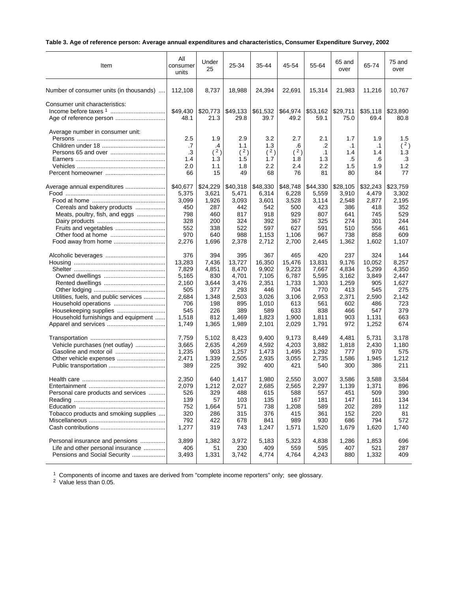# **Table 3. Age of reference person: Average annual expenditures and characteristics, Consumer Expenditure Survey, 2002**

| Item                                                      | All<br>consumer<br>units | Under<br>25             | 25-34                    | 35-44                    | 45-54                   | 55-64                         | 65 and<br>over                    | 65-74                         | 75 and<br>over                 |
|-----------------------------------------------------------|--------------------------|-------------------------|--------------------------|--------------------------|-------------------------|-------------------------------|-----------------------------------|-------------------------------|--------------------------------|
| Number of consumer units (in thousands)                   | 112,108                  | 8,737                   | 18,988                   | 24,394                   | 22,691                  | 15,314                        | 21,983                            | 11,216                        | 10,767                         |
| Consumer unit characteristics:<br>Age of reference person | \$49,430<br>48.1         | \$20,773<br>21.3        | \$49,133<br>29.8         | \$61,532<br>39.7         | \$64,974<br>49.2        | \$53,162<br>59.1              | \$29,711<br>75.0                  | \$35,118<br>69.4              | \$23,890<br>80.8               |
| Average number in consumer unit:                          | 2.5<br>.7<br>.3<br>1.4   | 1.9<br>.4<br>(2)<br>1.3 | 2.9<br>1.1<br>(2)<br>1.5 | 3.2<br>1.3<br>(2)<br>1.7 | 2.7<br>.6<br>(2)<br>1.8 | 2.1<br>.2<br>$\cdot$ 1<br>1.3 | 1.7<br>$\cdot$ 1<br>1.4<br>$.5\,$ | 1.9<br>$\cdot$ 1<br>1.4<br>.6 | 1.5<br>(2)<br>1.3<br>$\cdot$ 3 |
|                                                           | 2.0                      | 1.1                     | 1.8                      | 2.2                      | 2.4                     | 2.2                           | 1.5                               | 1.9                           | 1.2                            |
|                                                           | 66                       | 15                      | 49                       | 68                       | 76                      | 81                            | 80                                | 84                            | 77                             |
| Average annual expenditures                               | \$40,677                 | \$24,229                | \$40,318                 | \$48,330                 | \$48,748                | \$44,330                      | \$28,105                          | \$32,243                      | \$23,759                       |
|                                                           | 5,375                    | 3,621                   | 5,471                    | 6,314                    | 6,228                   | 5,559                         | 3,910                             | 4,479                         | 3,302                          |
|                                                           | 3,099                    | 1,926                   | 3,093                    | 3,601                    | 3,528                   | 3,114                         | 2,548                             | 2,877                         | 2,195                          |
| Cereals and bakery products                               | 450                      | 287                     | 442                      | 542                      | 500                     | 423                           | 386                               | 418                           | 352                            |
| Meats, poultry, fish, and eggs                            | 798                      | 460                     | 817                      | 918                      | 929                     | 807                           | 641                               | 745                           | 529                            |
|                                                           | 328                      | 200                     | 324                      | 392                      | 367                     | 325                           | 274                               | 301                           | 244                            |
| Fruits and vegetables                                     | 552                      | 338                     | 522                      | 597                      | 627                     | 591                           | 510                               | 556                           | 461                            |
|                                                           | 970                      | 640                     | 988                      | 1,153                    | 1,106                   | 967                           | 738                               | 858                           | 609                            |
|                                                           | 2,276                    | 1,696                   | 2,378                    | 2,712                    | 2,700                   | 2,445                         | 1,362                             | 1,602                         | 1,107                          |
|                                                           | 376                      | 394                     | 395                      | 367                      | 465                     | 420                           | 237                               | 324                           | 144                            |
|                                                           | 13,283                   | 7,436                   | 13,727                   | 16,350                   | 15,476                  | 13,831                        | 9,176                             | 10,052                        | 8,257                          |
|                                                           | 7,829                    | 4,851                   | 8,470                    | 9,902                    | 9,223                   | 7,667                         | 4,834                             | 5,299                         | 4,350                          |
|                                                           | 5,165                    | 830                     | 4,701                    | 7,105                    | 6,787                   | 5,595                         | 3,162                             | 3,849                         | 2,447                          |
|                                                           | 2,160                    | 3,644                   | 3,476                    | 2,351                    | 1,733                   | 1,303                         | 1,259                             | 905                           | 1,627                          |
|                                                           | 505                      | 377                     | 293                      | 446                      | 704                     | 770                           | 413                               | 545                           | 275                            |
| Utilities, fuels, and public services                     | 2,684                    | 1,348                   | 2,503                    | 3,026                    | 3,106                   | 2,953                         | 2,371                             | 2,590                         | 2,142                          |
| Household operations                                      | 706                      | 198                     | 895                      | 1,010                    | 613                     | 561                           | 602                               | 486                           | 723                            |
|                                                           | 545                      | 226                     | 389                      | 589                      | 633                     | 838                           | 466                               | 547                           | 379                            |
| Household furnishings and equipment                       | 1,518                    | 812                     | 1,469                    | 1,823                    | 1,900                   | 1,811                         | 903                               | 1,131                         | 663                            |
|                                                           | 1,749                    | 1,365                   | 1,989                    | 2,101                    | 2,029                   | 1,791                         | 972                               | 1,252                         | 674                            |
|                                                           | 7,759                    | 5,102                   | 8,423                    | 9,400                    | 9,173                   | 8,449                         | 4,481                             | 5,731                         | 3,178                          |
| Vehicle purchases (net outlay)                            | 3,665                    | 2,635                   | 4,269                    | 4,592                    | 4,203                   | 3,882                         | 1,818                             | 2,430                         | 1,180                          |
| Gasoline and motor oil                                    | 1,235                    | 903                     | 1,257                    | 1,473                    | 1,495                   | 1,292                         | 777                               | 970                           | 575                            |
|                                                           | 2,471                    | 1,339                   | 2,505                    | 2,935                    | 3,055                   | 2,735                         | 1,586                             | 1,945                         | 1,212                          |
|                                                           | 389                      | 225                     | 392                      | 400                      | 421                     | 540                           | 300                               | 386                           | 211                            |
|                                                           | 2,350                    | 640                     | 1,417                    | 1,980                    | 2,550                   | 3,007                         | 3,586                             | 3,588                         | 3,584                          |
|                                                           | 2,079                    | 1,212                   | 2.027                    | 2,685                    | 2,565                   | 2,297                         | 1,139                             | 1,371                         | 896                            |
| Personal care products and services                       | 526                      | 329                     | 488                      | 615                      | 588                     | 557                           | 451                               | 509                           | 390                            |
|                                                           | 139                      | 57                      | 103                      | 135                      | 167                     | 181                           | 147                               | 161                           | 134                            |
|                                                           | 752                      | 1,664                   | 571                      | 738                      | 1,208                   | 589                           | 202                               | 289                           | 112                            |
| Tobacco products and smoking supplies                     | 320                      | 286                     | 315                      | 376                      | 415                     | 361                           | 152                               | 220                           | 81                             |
|                                                           | 792                      | 422                     | 678                      | 841                      | 989                     | 930                           | 686                               | 794                           | 572                            |
|                                                           | 1,277                    | 319                     | 743                      | 1,247                    | 1,571                   | 1,520                         | 1,679                             | 1,620                         | 1,740                          |
| Personal insurance and pensions                           | 3,899                    | 1,382                   | 3,972                    | 5,183                    | 5,323                   | 4,838                         | 1,286                             | 1,853                         | 696                            |
| Life and other personal insurance                         | 406                      | 51                      | 230                      | 409                      | 559                     | 595                           | 407                               | 521                           | 287                            |
| Pensions and Social Security                              | 3,493                    | 1,331                   | 3,742                    | 4,774                    | 4,764                   | 4,243                         | 880                               | 1,332                         | 409                            |

 $1$  Components of income and taxes are derived from "complete income reporters" only; see glossary.

<sup>2</sup> Value less than 0.05.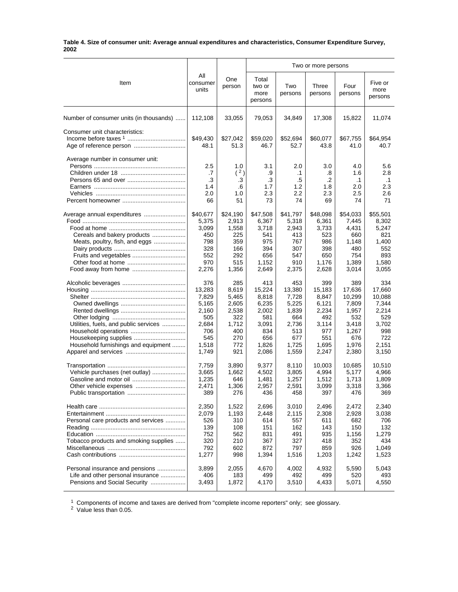#### **Table 4. Size of consumer unit: Average annual expenditures and characteristics, Consumer Expenditure Survey, 2002**

|                                         |                                     |                                     |                                     |                                            | Two or more persons                 |                                             |                                             |
|-----------------------------------------|-------------------------------------|-------------------------------------|-------------------------------------|--------------------------------------------|-------------------------------------|---------------------------------------------|---------------------------------------------|
| Item                                    | All<br>consumer<br>units            | One<br>person                       | Total<br>two or<br>more<br>persons  | Two<br>persons                             | Three<br>persons                    | Four<br>persons                             | Five or<br>more<br>persons                  |
| Number of consumer units (in thousands) | 112,108                             | 33,055                              | 79,053                              | 34,849                                     | 17,308                              | 15,822                                      | 11,074                                      |
| Consumer unit characteristics:          | \$49,430<br>48.1                    | \$27,042<br>51.3                    | \$59,020<br>46.7                    | \$52,694<br>52.7                           | \$60,077<br>43.8                    | \$67,755<br>41.0                            | \$64,954<br>40.7                            |
| Average number in consumer unit:        | 2.5<br>.7<br>.3<br>1.4<br>2.0<br>66 | 1.0<br>(2)<br>.3<br>.6<br>1.0<br>51 | 3.1<br>.9<br>.3<br>1.7<br>2.3<br>73 | 2.0<br>$\cdot$ 1<br>.5<br>1.2<br>2.2<br>74 | 3.0<br>.8<br>.2<br>1.8<br>2.3<br>69 | 4.0<br>1.6<br>$\cdot$ 1<br>2.0<br>2.5<br>74 | 5.6<br>2.8<br>$\cdot$ 1<br>2.3<br>2.6<br>71 |
|                                         | \$40,677                            | \$24,190                            | \$47,508                            | \$41,797                                   | \$48,098                            | \$54,033                                    | \$55,501                                    |
|                                         | 5,375                               | 2,913                               | 6,367                               | 5,318                                      | 6,361                               | 7,445                                       | 8,302                                       |
|                                         | 3,099                               | 1,558                               | 3,718                               | 2,943                                      | 3,733                               | 4,431                                       | 5,247                                       |
| Cereals and bakery products             | 450                                 | 225                                 | 541                                 | 413                                        | 523                                 | 660                                         | 821                                         |
| Meats, poultry, fish, and eggs          | 798                                 | 359                                 | 975                                 | 767                                        | 986                                 | 1,148                                       | 1,400                                       |
|                                         | 328                                 | 166                                 | 394                                 | 307                                        | 398                                 | 480                                         | 552                                         |
|                                         | 552                                 | 292                                 | 656                                 | 547                                        | 650                                 | 754                                         | 893                                         |
|                                         | 970                                 | 515                                 | 1,152                               | 910                                        | 1,176                               | 1,389                                       | 1,580                                       |
|                                         | 2,276                               | 1,356                               | 2,649                               | 2,375                                      | 2,628                               | 3,014                                       | 3,055                                       |
|                                         | 376                                 | 285                                 | 413                                 | 453                                        | 399                                 | 389                                         | 334                                         |
|                                         | 13,283                              | 8,619                               | 15,224                              | 13,380                                     | 15,183                              | 17,636                                      | 17,660                                      |
|                                         | 7,829                               | 5,465                               | 8,818                               | 7,728                                      | 8,847                               | 10,299                                      | 10,088                                      |
|                                         | 5,165                               | 2,605                               | 6,235                               | 5,225                                      | 6,121                               | 7,809                                       | 7,344                                       |
|                                         | 2,160                               | 2,538                               | 2,002                               | 1,839                                      | 2,234                               | 1,957                                       | 2,214                                       |
|                                         | 505                                 | 322                                 | 581                                 | 664                                        | 492                                 | 532                                         | 529                                         |
| Utilities, fuels, and public services   | 2,684                               | 1,712                               | 3,091                               | 2,736                                      | 3,114                               | 3,418                                       | 3,702                                       |
|                                         | 706                                 | 400                                 | 834                                 | 513                                        | 977                                 | 1,267                                       | 998                                         |
|                                         | 545                                 | 270                                 | 656                                 | 677                                        | 551                                 | 676                                         | 722                                         |
| Household furnishings and equipment     | 1,518                               | 772                                 | 1,826                               | 1,725                                      | 1,695                               | 1,976                                       | 2,151                                       |
|                                         | 1,749                               | 921                                 | 2,086                               | 1,559                                      | 2,247                               | 2,380                                       | 3,150                                       |
|                                         | 7,759                               | 3,890                               | 9,377                               | 8,110                                      | 10,003                              | 10,685                                      | 10,510                                      |
| Vehicle purchases (net outlay)          | 3,665                               | 1,662                               | 4,502                               | 3,805                                      | 4,994                               | 5,177                                       | 4,966                                       |
|                                         | 1,235                               | 646                                 | 1,481                               | 1,257                                      | 1,512                               | 1,713                                       | 1,809                                       |
| Other vehicle expenses                  | 2,471                               | 1,306                               | 2,957                               | 2,591                                      | 3,099                               | 3,318                                       | 3,366                                       |
|                                         | 389                                 | 276                                 | 436                                 | 458                                        | 397                                 | 476                                         | 369                                         |
|                                         | 2,350                               | 1,522                               | 2,696                               | 3,010                                      | 2,496                               | 2,472                                       | 2,340                                       |
|                                         | 2,079                               | 1,193                               | 2,448                               | 2,115                                      | 2,308                               | 2,928                                       | 3,038                                       |
| Personal care products and services     | 526                                 | 310                                 | 614                                 | 557                                        | 611                                 | 682                                         | 706                                         |
|                                         | 139                                 | 108                                 | 151                                 | 162                                        | 143                                 | 150                                         | 132                                         |
|                                         | 752                                 | 562                                 | 831                                 | 491                                        | 935                                 | 1,156                                       | 1,279                                       |
| Tobacco products and smoking supplies   | 320                                 | 210                                 | 367                                 | 327                                        | 418                                 | 352                                         | 434                                         |
|                                         | 792                                 | 602                                 | 872                                 | 797                                        | 859                                 | 926                                         | 1,049                                       |
|                                         | 1,277                               | 998                                 | 1,394                               | 1,516                                      | 1,203                               | 1,242                                       | 1,523                                       |
| Personal insurance and pensions         | 3,899                               | 2,055                               | 4,670                               | 4,002                                      | 4,932                               | 5,590                                       | 5,043                                       |
| Life and other personal insurance       | 406                                 | 183                                 | 499                                 | 492                                        | 499                                 | 520                                         | 493                                         |
| Pensions and Social Security            | 3,493                               | 1,872                               | 4,170                               | 3,510                                      | 4,433                               | 5,071                                       | 4,550                                       |

 $1$  Components of income and taxes are derived from "complete income reporters" only; see glossary.

<sup>2</sup> Value less than 0.05.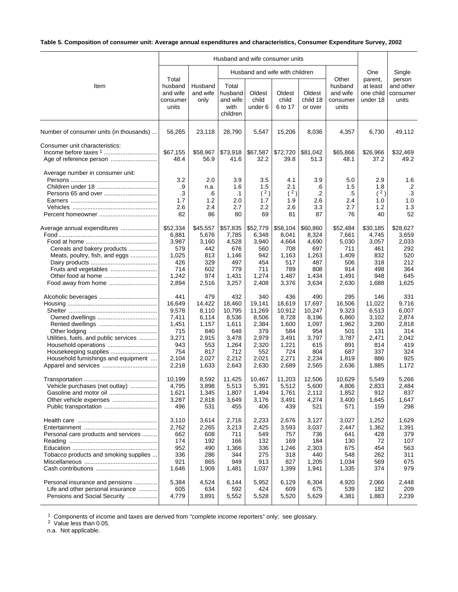# **Table 5. Composition of consumer unit: Average annual expenditures and characteristics, Consumer Expenditure Survey, 2002**

|                                                                                                                     |                                                                                          |                                                                                          |                                                                                             | Husband and wife consumer units                                                             |                                                                                             |                                                                                           |                                                                                          |                                                                                        |                                                                                       |
|---------------------------------------------------------------------------------------------------------------------|------------------------------------------------------------------------------------------|------------------------------------------------------------------------------------------|---------------------------------------------------------------------------------------------|---------------------------------------------------------------------------------------------|---------------------------------------------------------------------------------------------|-------------------------------------------------------------------------------------------|------------------------------------------------------------------------------------------|----------------------------------------------------------------------------------------|---------------------------------------------------------------------------------------|
|                                                                                                                     |                                                                                          |                                                                                          |                                                                                             | Husband and wife with children                                                              |                                                                                             |                                                                                           |                                                                                          | One                                                                                    | Single                                                                                |
| Item                                                                                                                | Total<br>husband<br>and wife<br>consumer<br>units                                        | Husband<br>and wife<br>only                                                              | Total<br>husband<br>and wife<br>with<br>children                                            | Oldest<br>child<br>under 6                                                                  | Oldest<br>child<br>6 to 17                                                                  | Oldest<br>child 18<br>or over                                                             | Other<br>husband<br>and wife<br>consumer<br>units                                        | parent,<br>at least<br>one child<br>under 18                                           | person<br>and other<br>consumer<br>units                                              |
| Number of consumer units (in thousands)                                                                             | 56,265                                                                                   | 23,118                                                                                   | 28,790                                                                                      | 5,547                                                                                       | 15,206                                                                                      | 8,036                                                                                     | 4,357                                                                                    | 6,730                                                                                  | 49,112                                                                                |
| Consumer unit characteristics:                                                                                      | \$67,155<br>48.4                                                                         | \$58,967<br>56.9                                                                         | \$73,918<br>41.6                                                                            | \$67,587<br>32.2                                                                            | \$72,720<br>39.8                                                                            | \$81,042<br>51.3                                                                          | \$65,866<br>48.1                                                                         | \$26,966<br>37.2                                                                       | \$32,469<br>49.2                                                                      |
| Average number in consumer unit:                                                                                    | 3.2<br>.9<br>.3<br>1.7<br>2.6<br>82                                                      | 2.0<br>n.a.<br>.6<br>1.2<br>2.4<br>86                                                    | 3.9<br>1.6<br>$\cdot$ 1<br>2.0<br>2.7<br>80                                                 | 3.5<br>1.5<br>(2)<br>1.7<br>2.2<br>69                                                       | 4.1<br>2.1<br>(2)<br>1.9<br>2.6<br>81                                                       | 3.9<br>.6<br>$\cdot$<br>2.6<br>3.3<br>87                                                  | 5.0<br>1.5<br>.5<br>2.4<br>2.7<br>76                                                     | 2.9<br>1.8<br>(2)<br>1.0<br>1.2<br>40                                                  | 1.6<br>$\cdot$ .2<br>.3<br>1.0<br>1.3<br>52                                           |
| Average annual expenditures<br>Cereals and bakery products<br>Meats, poultry, fish, and eggs<br>Food away from home | \$52,334<br>6,881<br>3,987<br>579<br>1,025<br>426<br>714<br>1,242<br>2,894               | \$45,557<br>5,676<br>3,160<br>442<br>813<br>329<br>602<br>974<br>2,516                   | \$57,835<br>7,785<br>4,528<br>676<br>1,146<br>497<br>779<br>1,431<br>3,257                  | \$52,779<br>6,348<br>3,940<br>560<br>942<br>454<br>711<br>1,274<br>2,408                    | \$58,104<br>8,041<br>4,664<br>708<br>1,163<br>517<br>789<br>1,487<br>3,376                  | \$60,860<br>8,324<br>4,690<br>697<br>1,263<br>487<br>808<br>1,434<br>3,634                | \$52,484<br>7,661<br>5,030<br>711<br>1,409<br>506<br>914<br>1,491<br>2,630               | \$30,185<br>4,745<br>3,057<br>461<br>832<br>318<br>498<br>948<br>1,688                 | \$28,627<br>3,659<br>2,033<br>292<br>520<br>212<br>364<br>645<br>1,625                |
| Utilities, fuels, and public services<br>Household furnishings and equipment                                        | 441<br>16,649<br>9,578<br>7,411<br>1,451<br>715<br>3,271<br>943<br>754<br>2,104<br>2,218 | 479<br>14,422<br>8,110<br>6,114<br>1,157<br>840<br>2,915<br>553<br>817<br>2,027<br>1,633 | 432<br>18,460<br>10,795<br>8,536<br>1,611<br>648<br>3,478<br>1,264<br>712<br>2,212<br>2,643 | 340<br>19,141<br>11,269<br>8,506<br>2,384<br>379<br>2,979<br>2,320<br>552<br>2,021<br>2,630 | 436<br>18,619<br>10,912<br>8,728<br>1,600<br>584<br>3,491<br>1,221<br>724<br>2,271<br>2,689 | 490<br>17,697<br>10,247<br>8,196<br>1,097<br>954<br>3,797<br>615<br>804<br>2,234<br>2,565 | 295<br>16,506<br>9,323<br>6,860<br>1,962<br>501<br>3,787<br>891<br>687<br>1,819<br>2,636 | 146<br>11,022<br>6,513<br>3,102<br>3,280<br>131<br>2,471<br>814<br>337<br>886<br>1,885 | 331<br>9,716<br>6,007<br>2,874<br>2,818<br>314<br>2,042<br>419<br>324<br>925<br>1,172 |
| Vehicle purchases (net outlay)<br>Gasoline and motor oil<br>Other vehicle expenses                                  | 10.199<br>4,795<br>1,621<br>3,287<br>496                                                 | 8,592<br>3,898<br>1,345<br>2,818<br>531                                                  | 11,425<br>5,513<br>1,807<br>3,649<br>455                                                    | 10,467<br>5,391<br>1,494<br>3,176<br>406                                                    | 11,203<br>5,512<br>1,761<br>3,491<br>439                                                    | 12,506<br>5,600<br>2,112<br>4,274<br>521                                                  | 10,629<br>4,806<br>1,852<br>3,400<br>571                                                 | 5,549<br>2,833<br>912<br>1,645<br>159                                                  | 5,266<br>2,484<br>837<br>1,647<br>298                                                 |
| Personal care products and services<br>Tobacco products and smoking supplies                                        | 3,110<br>2,762<br>662<br>174<br>952<br>336<br>921<br>1,646                               | 3,614<br>2,265<br>608<br>192<br>490<br>286<br>865<br>1,909                               | 2,716<br>3,213<br>711<br>166<br>1,366<br>344<br>949<br>1,481                                | 2,233<br>2,425<br>549<br>132<br>336<br>275<br>913<br>1,037                                  | 2,676<br>3,593<br>757<br>169<br>1,246<br>318<br>827<br>1,399                                | 3,127<br>3,037<br>736<br>184<br>2,303<br>440<br>1,205<br>1,941                            | 3,027<br>2,447<br>641<br>130<br>675<br>548<br>1,034<br>1,335                             | 1,252<br>1,362<br>428<br>72<br>454<br>262<br>569<br>374                                | 1,629<br>1,391<br>379<br>107<br>563<br>311<br>675<br>979                              |
| Personal insurance and pensions<br>Life and other personal insurance<br>Pensions and Social Security                | 5,384<br>605<br>4,779                                                                    | 4,524<br>634<br>3,891                                                                    | 6,144<br>592<br>5,552                                                                       | 5,952<br>424<br>5,528                                                                       | 6,129<br>609<br>5,520                                                                       | 6,304<br>675<br>5,629                                                                     | 4,920<br>539<br>4,381                                                                    | 2,066<br>182<br>1,883                                                                  | 2,448<br>209<br>2,239                                                                 |

 $1$  Components of income and taxes are derived from "complete income reporters" only; see glossary.

<sup>2</sup> Value less than 0.05.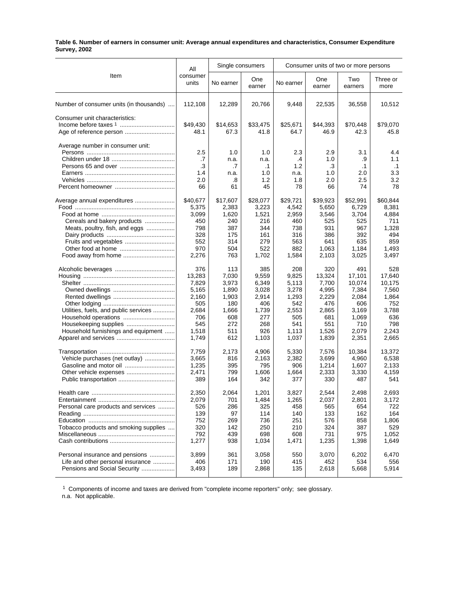#### **Table 6. Number of earners in consumer unit: Average annual expenditures and characteristics, Consumer Expenditure Survey, 2002**

|                                         | All               |           | Single consumers |           | Consumer units of two or more persons |                |                  |  |  |
|-----------------------------------------|-------------------|-----------|------------------|-----------|---------------------------------------|----------------|------------------|--|--|
| Item                                    | consumer<br>units | No earner | One<br>earner    | No earner | One<br>earner                         | Two<br>earners | Three or<br>more |  |  |
| Number of consumer units (in thousands) | 112,108           | 12,289    | 20,766           | 9,448     | 22,535                                | 36,558         | 10,512           |  |  |
| Consumer unit characteristics:          |                   |           |                  |           |                                       |                |                  |  |  |
|                                         | \$49,430          | \$14,653  | \$33,475         | \$25,671  | \$44,393                              | \$70,448       | \$79,070         |  |  |
|                                         | 48.1              | 67.3      | 41.8             | 64.7      | 46.9                                  | 42.3           | 45.8             |  |  |
| Average number in consumer unit:        |                   |           |                  |           |                                       |                |                  |  |  |
|                                         | 2.5               | 1.0       | 1.0              | 2.3       | 2.9                                   | 3.1            | 4.4              |  |  |
|                                         | .7                | n.a.      | n.a.             | .4        | 1.0                                   | .9             | 1.1              |  |  |
|                                         | .3                | .7        | $\cdot$ 1        | 1.2       | .3                                    | $\cdot$ 1      | $\cdot$ 1        |  |  |
|                                         | 1.4               | n.a.      | 1.0              | n.a.      | 1.0                                   | 2.0            | 3.3              |  |  |
|                                         | 2.0               | .8        | 1.2              | 1.8       | 2.0                                   | 2.5            | 3.2              |  |  |
|                                         | 66                | 61        | 45               | 78        | 66                                    | 74             | 78               |  |  |
| Average annual expenditures             | \$40,677          | \$17,607  | \$28,077         | \$29,721  | \$39,923                              | \$52,991       | \$60,844         |  |  |
|                                         | 5,375             | 2,383     | 3,223            | 4,542     | 5,650                                 | 6,729          | 8,381            |  |  |
|                                         | 3,099             | 1,620     | 1,521            | 2,959     | 3,546                                 | 3,704          | 4,884            |  |  |
| Cereals and bakery products             | 450               | 240       | 216              | 460       | 525                                   | 525            | 711              |  |  |
| Meats, poultry, fish, and eggs          | 798               | 387       | 344              | 738       | 931                                   | 967            | 1,328            |  |  |
|                                         | 328               | 175       | 161              | 316       | 386                                   | 392            | 494              |  |  |
|                                         | 552               | 314       | 279              | 563       | 641                                   | 635            | 859              |  |  |
| Other food at home                      | 970               | 504       | 522              | 882       | 1,063                                 | 1,184          | 1,493            |  |  |
| Food away from home                     | 2,276             | 763       | 1,702            | 1,584     | 2,103                                 | 3,025          | 3,497            |  |  |
|                                         | 376               | 113       | 385              | 208       | 320                                   | 491            | 528              |  |  |
|                                         | 13,283            | 7,030     | 9,559            | 9,825     | 13,324                                | 17,101         | 17,640           |  |  |
|                                         | 7,829             | 3,973     | 6,349            | 5,113     | 7,700                                 | 10,074         | 10,175           |  |  |
|                                         | 5,165             | 1,890     | 3,028            | 3,278     | 4,995                                 | 7,384          | 7,560            |  |  |
|                                         | 2,160             | 1,903     | 2,914            | 1,293     | 2,229                                 | 2,084          | 1,864            |  |  |
|                                         | 505               | 180       | 406              | 542       | 476                                   | 606            | 752              |  |  |
| Utilities, fuels, and public services   | 2,684             | 1,666     | 1,739            | 2,553     | 2,865                                 | 3,169          | 3,788            |  |  |
|                                         | 706               | 608       | 277              | 505       | 681                                   | 1,069          | 636              |  |  |
| Housekeeping supplies                   | 545               | 272       | 268              | 541       | 551                                   | 710            | 798              |  |  |
| Household furnishings and equipment     | 1,518             | 511       | 926              | 1,113     | 1,526                                 | 2,079          | 2,243            |  |  |
|                                         | 1,749             | 612       | 1,103            | 1,037     | 1,839                                 | 2,351          | 2,665            |  |  |
|                                         | 7,759             | 2,173     | 4,906            | 5,330     | 7,576                                 | 10,384         | 13,372           |  |  |
| Vehicle purchases (net outlay)          | 3,665             | 816       | 2,163            | 2,382     | 3,699                                 | 4,960          | 6,538            |  |  |
| Gasoline and motor oil                  | 1,235             | 395       | 795              | 906       | 1,214                                 | 1,607          | 2,133            |  |  |
|                                         | 2,471             | 799       | 1,606            | 1,664     | 2,333                                 | 3,330          | 4,159            |  |  |
|                                         | 389               | 164       | 342              | 377       | 330                                   | 487            | 541              |  |  |
|                                         | 2,350             | 2,064     | 1,201            | 3,827     | 2,544                                 | 2,498          | 2,693            |  |  |
|                                         | 2,079             | 701       | 1,484            | 1,265     | 2,037                                 | 2,801          | 3,172            |  |  |
| Personal care products and services     | 526               | 286       | 325              | 458       | 565                                   | 654            | 722              |  |  |
|                                         | 139               | 97        | 114              | 140       | 133                                   | 162            | 164              |  |  |
|                                         | 752               | 269       | 736              | 251       | 576                                   | 858            | 1,806            |  |  |
| Tobacco products and smoking supplies   | 320               | 142       | 250              | 210       | 324                                   | 387            | 529              |  |  |
|                                         | 792               | 439       | 698              | 608       | 731                                   | 975            | 1,052            |  |  |
|                                         | 1,277             | 938       | 1,034            | 1,471     | 1,235                                 | 1,398          | 1,649            |  |  |
| Personal insurance and pensions         | 3,899             | 361       | 3,058            | 550       | 3,070                                 | 6,202          | 6,470            |  |  |
| Life and other personal insurance       | 406               | 171       | 190              | 415       | 452                                   | 534            | 556              |  |  |
| Pensions and Social Security            | 3,493             | 189       | 2,868            | 135       | 2,618                                 | 5,668          | 5,914            |  |  |

<sup>1</sup> Components of income and taxes are derived from "complete income reporters" only; see glossary.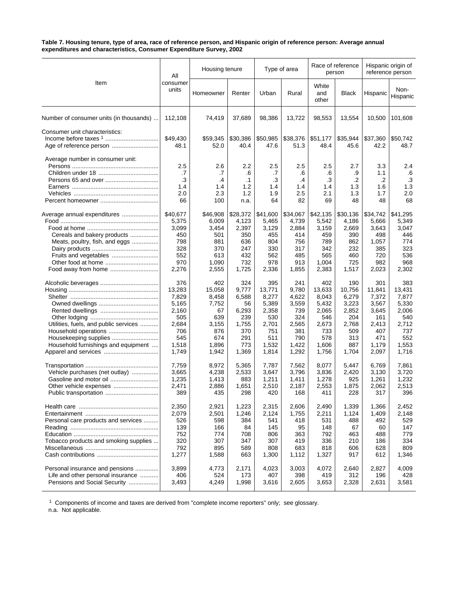#### **Table 7. Housing tenure, type of area, race of reference person, and Hispanic origin of reference person: Average annual expenditures and characteristics, Consumer Expenditure Survey, 2002**

|                                                           | All                                 | Housing tenure                       |                                              |                                     | Type of area                             |                                     | Race of reference<br>person         |                                      | Hispanic origin of<br>reference person     |
|-----------------------------------------------------------|-------------------------------------|--------------------------------------|----------------------------------------------|-------------------------------------|------------------------------------------|-------------------------------------|-------------------------------------|--------------------------------------|--------------------------------------------|
| Item                                                      | consumer<br>units                   | Homeowner                            | Renter                                       | Urban                               | Rural                                    | White<br>and<br>other               | <b>Black</b>                        | Hispanic                             | Non-<br>Hispanic                           |
| Number of consumer units (in thousands)                   | 112,108                             | 74,419                               | 37,689                                       | 98,386                              | 13,722                                   | 98,553                              | 13,554                              | 10,500                               | 101,608                                    |
| Consumer unit characteristics:<br>Age of reference person | \$49,430<br>48.1                    | \$59,345<br>52.0                     | \$30,386<br>40.4                             | \$50,985<br>47.6                    | \$38,376<br>51.3                         | \$51,177<br>48.4                    | \$35,944<br>45.6                    | \$37,360<br>42.2                     | \$50,742<br>48.7                           |
| Average number in consumer unit:                          | 2.5<br>.7<br>.3<br>1.4<br>2.0<br>66 | 2.6<br>.7<br>.4<br>1.4<br>2.3<br>100 | 2.2<br>.6<br>$\cdot$ 1<br>1.2<br>1.2<br>n.a. | 2.5<br>.7<br>.3<br>1.4<br>1.9<br>64 | 2.5<br>.6<br>$\cdot$<br>1.4<br>2.5<br>82 | 2.5<br>.6<br>.3<br>1.4<br>2.1<br>69 | 2.7<br>.9<br>.2<br>1.3<br>1.3<br>48 | 3.3<br>1.1<br>.2<br>1.6<br>1.7<br>48 | 2.4<br>.6<br>$\cdot$ 3<br>1.3<br>2.0<br>68 |
| Average annual expenditures                               | \$40,677                            | \$46,908                             | \$28,372                                     | \$41,600                            | \$34,067                                 | \$42,135                            | \$30,136                            | \$34,742                             | \$41,295                                   |
|                                                           | 5,375                               | 6,009                                | 4,123                                        | 5,465                               | 4,739                                    | 5,542                               | 4,186                               | 5,666                                | 5,349                                      |
|                                                           | 3,099                               | 3,454                                | 2,397                                        | 3,129                               | 2,884                                    | 3,159                               | 2,669                               | 3,643                                | 3,047                                      |
| Cereals and bakery products                               | 450                                 | 501                                  | 350                                          | 455                                 | 414                                      | 459                                 | 390                                 | 498                                  | 446                                        |
| Meats, poultry, fish, and eggs                            | 798                                 | 881                                  | 636                                          | 804                                 | 756                                      | 789                                 | 862                                 | 1,057                                | 774                                        |
|                                                           | 328                                 | 370                                  | 247                                          | 330                                 | 317                                      | 342                                 | 232                                 | 385                                  | 323                                        |
| Fruits and vegetables                                     | 552                                 | 613                                  | 432                                          | 562                                 | 485                                      | 565                                 | 460                                 | 720                                  | 536                                        |
| Other food at home                                        | 970                                 | 1,090                                | 732                                          | 978                                 | 913                                      | 1,004                               | 725                                 | 982                                  | 968                                        |
|                                                           | 2,276                               | 2,555                                | 1,725                                        | 2,336                               | 1,855                                    | 2,383                               | 1,517                               | 2,023                                | 2,302                                      |
|                                                           | 376                                 | 402                                  | 324                                          | 395                                 | 241                                      | 402                                 | 190                                 | 301                                  | 383                                        |
|                                                           | 13,283                              | 15,058                               | 9,777                                        | 13,771                              | 9,780                                    | 13,633                              | 10,756                              | 11,841                               | 13,431                                     |
|                                                           | 7,829                               | 8,458                                | 6,588                                        | 8,277                               | 4,622                                    | 8,043                               | 6,279                               | 7,372                                | 7,877                                      |
|                                                           | 5,165                               | 7,752                                | 56                                           | 5,389                               | 3,559                                    | 5,432                               | 3,223                               | 3,567                                | 5,330                                      |
|                                                           | 2,160                               | 67                                   | 6,293                                        | 2,358                               | 739                                      | 2,065                               | 2,852                               | 3,645                                | 2,006                                      |
|                                                           | 505                                 | 639                                  | 239                                          | 530                                 | 324                                      | 546                                 | 204                                 | 161                                  | 540                                        |
| Utilities, fuels, and public services                     | 2,684                               | 3,155                                | 1,755                                        | 2,701                               | 2,565                                    | 2,673                               | 2,768                               | 2,413                                | 2,712                                      |
| Household operations                                      | 706                                 | 876                                  | 370                                          | 751                                 | 381                                      | 733                                 | 509                                 | 407                                  | 737                                        |
|                                                           | 545                                 | 674                                  | 291                                          | 511                                 | 790                                      | 578                                 | 313                                 | 471                                  | 552                                        |
| Household furnishings and equipment                       | 1,518                               | 1,896                                | 773                                          | 1,532                               | 1,422                                    | 1,606                               | 887                                 | 1,179                                | 1,553                                      |
|                                                           | 1,749                               | 1,942                                | 1,369                                        | 1,814                               | 1,292                                    | 1,756                               | 1,704                               | 2,097                                | 1,716                                      |
|                                                           | 7,759                               | 8,972                                | 5,365                                        | 7,787                               | 7,562                                    | 8,077                               | 5,447                               | 6,769                                | 7,861                                      |
| Vehicle purchases (net outlay)                            | 3,665                               | 4,238                                | 2,533                                        | 3,647                               | 3,796                                    | 3,836                               | 2,420                               | 3,130                                | 3,720                                      |
|                                                           | 1,235                               | 1,413                                | 883                                          | 1,211                               | 1,411                                    | 1,278                               | 925                                 | 1,261                                | 1,232                                      |
| Other vehicle expenses                                    | 2,471                               | 2,886                                | 1,651                                        | 2,510                               | 2,187                                    | 2,553                               | 1,875                               | 2,062                                | 2,513                                      |
| Public transportation                                     | 389                                 | 435                                  | 298                                          | 420                                 | 168                                      | 411                                 | 228                                 | 317                                  | 396                                        |
|                                                           | 2,350                               | 2,921                                | 1,223                                        | 2,315                               | 2,606                                    | 2,490                               | 1,339                               | 1,366                                | 2,452                                      |
|                                                           | 2,079                               | 2,501                                | 1,246                                        | 2,124                               | 1,755                                    | 2,211                               | 1,124                               | 1,409                                | 2,148                                      |
| Personal care products and services                       | 526                                 | 598                                  | 384                                          | 541                                 | 418                                      | 531                                 | 488                                 | 492                                  | 529                                        |
|                                                           | 139                                 | 166                                  | 84                                           | 145                                 | 95                                       | 148                                 | 67                                  | 60                                   | 147                                        |
|                                                           | 752                                 | 774                                  | 708                                          | 806                                 | 363                                      | 792                                 | 463                                 | 488                                  | 779                                        |
| Tobacco products and smoking supplies                     | 320                                 | 307                                  | 347                                          | 307                                 | 419                                      | 336                                 | 210                                 | 186                                  | 334                                        |
|                                                           | 792                                 | 895                                  | 589                                          | 808                                 | 683                                      | 818                                 | 606                                 | 628                                  | 809                                        |
|                                                           | 1,277                               | 1,588                                | 663                                          | 1,300                               | 1,112                                    | 1,327                               | 917                                 | 612                                  | 1,346                                      |
| Personal insurance and pensions                           | 3,899                               | 4,773                                | 2,171                                        | 4,023                               | 3,003                                    | 4,072                               | 2,640                               | 2,827                                | 4,009                                      |
| Life and other personal insurance                         | 406                                 | 524                                  | 173                                          | 407                                 | 398                                      | 419                                 | 312                                 | 196                                  | 428                                        |
| Pensions and Social Security                              | 3,493                               | 4,249                                | 1,998                                        | 3,616                               | 2,605                                    | 3,653                               | 2,328                               | 2,631                                | 3,581                                      |

 $1$  Components of income and taxes are derived from "complete income reporters" only; see glossary.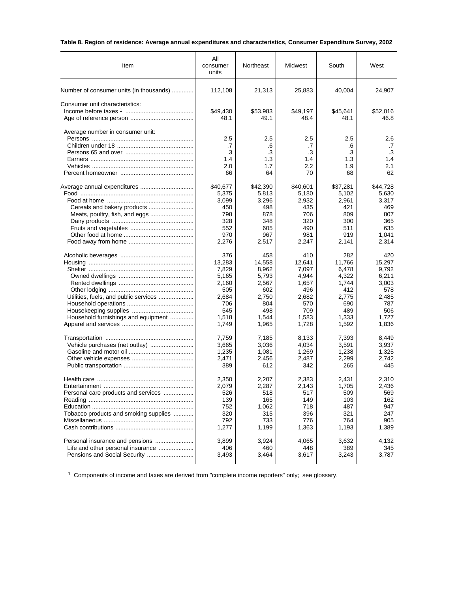# **Table 8. Region of residence: Average annual expenditures and characteristics, Consumer Expenditure Survey, 2002**

| Item                                    | Αll<br>consumer<br>units            | Northeast                           | Midwest                             | South                               | West                                |
|-----------------------------------------|-------------------------------------|-------------------------------------|-------------------------------------|-------------------------------------|-------------------------------------|
| Number of consumer units (in thousands) | 112,108                             | 21,313                              | 25,883                              | 40,004                              | 24,907                              |
| Consumer unit characteristics:          | \$49,430<br>48.1                    | \$53,983<br>49.1                    | \$49,197<br>48.4                    | \$45,641<br>48.1                    | \$52,016<br>46.8                    |
| Average number in consumer unit:        | 2.5<br>.7<br>.3<br>1.4<br>2.0<br>66 | 2.5<br>.6<br>.3<br>1.3<br>1.7<br>64 | 2.5<br>.7<br>.3<br>1.4<br>2.2<br>70 | 2.5<br>.6<br>.3<br>1.3<br>1.9<br>68 | 2.6<br>.7<br>.3<br>1.4<br>2.1<br>62 |
|                                         | \$40,677                            | \$42,390                            | \$40,601                            | \$37,281                            | \$44,728                            |
|                                         | 5,375                               | 5,813                               | 5,180                               | 5,102                               | 5,630                               |
|                                         | 3,099                               | 3,296                               | 2,932                               | 2,961                               | 3,317                               |
|                                         | 450                                 | 498                                 | 435                                 | 421                                 | 469                                 |
|                                         | 798                                 | 878                                 | 706                                 | 809                                 | 807                                 |
|                                         | 328                                 | 348                                 | 320                                 | 300                                 | 365                                 |
|                                         | 552                                 | 605                                 | 490                                 | 511                                 | 635                                 |
|                                         | 970                                 | 967                                 | 981                                 | 919                                 | 1,041                               |
|                                         | 2,276                               | 2,517                               | 2,247                               | 2,141                               | 2,314                               |
|                                         | 376                                 | 458                                 | 410                                 | 282                                 | 420                                 |
|                                         | 13,283                              | 14,558                              | 12.641                              | 11,766                              | 15,297                              |
|                                         | 7,829                               | 8,962                               | 7,097                               | 6,478                               | 9,792                               |
|                                         | 5,165                               | 5,793                               | 4,944                               | 4,322                               | 6,211                               |
|                                         | 2,160                               | 2,567                               | 1,657                               | 1,744                               | 3,003                               |
|                                         | 505                                 | 602                                 | 496                                 | 412                                 | 578                                 |
| Utilities, fuels, and public services   | 2,684                               | 2,750                               | 2,682                               | 2,775                               | 2,485                               |
|                                         | 706                                 | 804                                 | 570                                 | 690                                 | 787                                 |
|                                         | 545                                 | 498                                 | 709                                 | 489                                 | 506                                 |
| Household furnishings and equipment     | 1,518                               | 1,544                               | 1,583                               | 1,333                               | 1,727                               |
|                                         | 1,749                               | 1,965                               | 1,728                               | 1,592                               | 1,836                               |
|                                         | 7,759                               | 7,185                               | 8,133                               | 7,393                               | 8,449                               |
|                                         | 3,665                               | 3,036                               | 4,034                               | 3,591                               | 3,937                               |
|                                         | 1,235                               | 1,081                               | 1,269                               | 1,238                               | 1,325                               |
|                                         | 2,471                               | 2,456                               | 2,487                               | 2,299                               | 2,742                               |
|                                         | 389                                 | 612                                 | 342                                 | 265                                 | 445                                 |
|                                         | 2,350                               | 2,207                               | 2,383                               | 2.431                               | 2,310                               |
|                                         | 2,079                               | 2,287                               | 2,143                               | 1,705                               | 2,436                               |
| Personal care products and services     | 526                                 | 518                                 | 517                                 | 509                                 | 569                                 |
|                                         | 139                                 | 165                                 | 149                                 | 103                                 | 162                                 |
|                                         | 752                                 | 1,062                               | 718                                 | 487                                 | 947                                 |
| Tobacco products and smoking supplies   | 320                                 | 315                                 | 396                                 | 321                                 | 247                                 |
|                                         | 792                                 | 733                                 | 776                                 | 764                                 | 905                                 |
|                                         | 1,277                               | 1,199                               | 1,363                               | 1,193                               | 1,389                               |
| Personal insurance and pensions         | 3,899                               | 3,924                               | 4,065                               | 3,632                               | 4,132                               |
| Life and other personal insurance       | 406                                 | 460                                 | 448                                 | 389                                 | 345                                 |
|                                         | 3,493                               | 3,464                               | 3,617                               | 3,243                               | 3,787                               |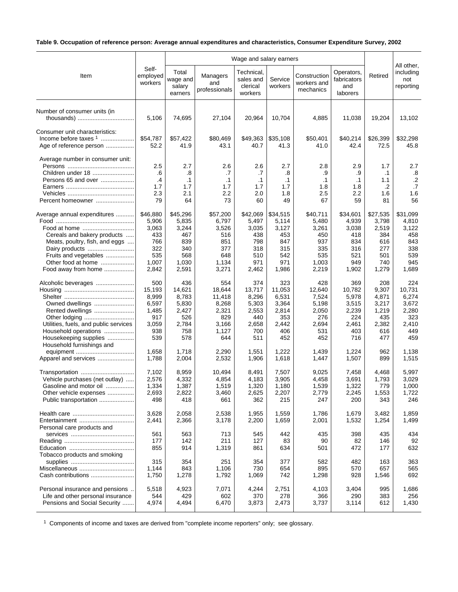# **Table 9. Occupation of reference person: Average annual expenditures and characteristics, Consumer Expenditure Survey, 2002**

|                                                                                                                                                                                    |                                                                          |                                                                          | Wage and salary earners                                                   |                                                                        |                                                                        |                                                                          |                                                                        |                                                                        |                                                                        |  |  |
|------------------------------------------------------------------------------------------------------------------------------------------------------------------------------------|--------------------------------------------------------------------------|--------------------------------------------------------------------------|---------------------------------------------------------------------------|------------------------------------------------------------------------|------------------------------------------------------------------------|--------------------------------------------------------------------------|------------------------------------------------------------------------|------------------------------------------------------------------------|------------------------------------------------------------------------|--|--|
| Item                                                                                                                                                                               | Self-<br>employed<br>workers                                             | Total<br>wage and<br>salary<br>earners                                   | Managers<br>and<br>professionals                                          | Technical,<br>sales and<br>clerical<br>workers                         | Service<br>workers                                                     | Construction<br>workers and<br>mechanics                                 | Operators,<br>fabricators<br>and<br>laborers                           | Retired                                                                | All other,<br>including<br>not<br>reporting                            |  |  |
| Number of consumer units (in                                                                                                                                                       | 5,106                                                                    | 74,695                                                                   | 27,104                                                                    | 20,964                                                                 | 10,704                                                                 | 4,885                                                                    | 11,038                                                                 | 19,204                                                                 | 13,102                                                                 |  |  |
| Consumer unit characteristics:<br>Income before taxes 1<br>Age of reference person                                                                                                 | \$54,787<br>52.2                                                         | \$57,422<br>41.9                                                         | \$80.469<br>43.1                                                          | \$49,363<br>40.7                                                       | \$35,108<br>41.3                                                       | \$50,401<br>41.0                                                         | \$40,214<br>42.4                                                       | \$26,399<br>72.5                                                       | \$32,298<br>45.8                                                       |  |  |
| Average number in consumer unit:<br>Children under 18<br>Persons 65 and over<br>Percent homeowner                                                                                  | 2.5<br>.6<br>.4<br>1.7<br>2.3<br>79                                      | 2.7<br>.8<br>$\cdot$ 1<br>1.7<br>2.1<br>64                               | 2.6<br>.7<br>$\cdot$ 1<br>1.7<br>2.2<br>73                                | 2.6<br>.7<br>$\cdot$ 1<br>1.7<br>2.0<br>60                             | 2.7<br>.8<br>$\cdot$ 1<br>1.7<br>1.8<br>49                             | 2.8<br>.9<br>$\cdot$ 1<br>1.8<br>2.5<br>67                               | 2.9<br>.9<br>$\cdot$ 1<br>1.8<br>2.2<br>59                             | 1.7<br>$\cdot$ 1<br>1.1<br>.2<br>1.6<br>81                             | 2.7<br>.8<br>$\cdot$ .2<br>.7<br>1.6<br>56                             |  |  |
| Average annual expenditures<br>Food at home<br>Cereals and bakery products<br>Meats, poultry, fish, and eggs<br>Fruits and vegetables<br>Other food at home<br>Food away from home | \$46,880<br>5,906<br>3,063<br>433<br>766<br>322<br>535<br>1,007<br>2,842 | \$45,296<br>5,835<br>3,244<br>467<br>839<br>340<br>568<br>1,030<br>2,591 | \$57,200<br>6,797<br>3,526<br>516<br>851<br>377<br>648<br>1,134<br>3,271  | \$42,069<br>5,497<br>3,035<br>438<br>798<br>318<br>510<br>971<br>2,462 | \$34,515<br>5,114<br>3,127<br>453<br>847<br>315<br>542<br>971<br>1,986 | \$40,711<br>5,480<br>3,261<br>450<br>937<br>335<br>535<br>1,003<br>2,219 | \$34,601<br>4,939<br>3,038<br>418<br>834<br>316<br>521<br>949<br>1,902 | \$27,535<br>3,798<br>2,519<br>384<br>616<br>277<br>501<br>740<br>1,279 | \$31,099<br>4,810<br>3,122<br>458<br>843<br>338<br>539<br>945<br>1,689 |  |  |
| Alcoholic beverages<br>Owned dwellings<br>Rented dwellings<br>Other lodging<br>Utilities, fuels, and public services<br>Household operations<br>Housekeeping supplies              | 500<br>15,193<br>8,999<br>6,597<br>1,485<br>917<br>3,059<br>938<br>539   | 436<br>14,621<br>8,783<br>5,830<br>2,427<br>526<br>2,784<br>758<br>578   | 554<br>18,644<br>11,418<br>8,268<br>2,321<br>829<br>3,166<br>1,127<br>644 | 374<br>13,717<br>8,296<br>5,303<br>2,553<br>440<br>2,658<br>700<br>511 | 323<br>11,053<br>6,531<br>3,364<br>2,814<br>353<br>2,442<br>406<br>452 | 428<br>12,640<br>7,524<br>5,198<br>2,050<br>276<br>2,694<br>531<br>452   | 369<br>10,782<br>5,978<br>3,515<br>2,239<br>224<br>2,461<br>403<br>716 | 208<br>9,307<br>4,871<br>3,217<br>1,219<br>435<br>2,382<br>616<br>477  | 224<br>10,731<br>6,274<br>3,672<br>2,280<br>323<br>2,410<br>449<br>459 |  |  |
| Household furnishings and<br>Apparel and services                                                                                                                                  | 1,658<br>1,788                                                           | 1,718<br>2,004                                                           | 2,290<br>2,532                                                            | 1,551<br>1,906                                                         | 1,222<br>1,618                                                         | 1,439<br>1,447                                                           | 1,224<br>1,507                                                         | 962<br>899                                                             | 1,138<br>1,515                                                         |  |  |
| Transportation<br>Vehicle purchases (net outlay)<br>Gasoline and motor oil<br>Other vehicle expenses<br>Public transportation                                                      | 7,102<br>2,576<br>1,334<br>2,693<br>498                                  | 8,959<br>4,332<br>1.387<br>2,822<br>418                                  | 10,494<br>4,854<br>1.519<br>3,460<br>661                                  | 8,491<br>4,183<br>1,320<br>2,625<br>362                                | 7,507<br>3,905<br>1,180<br>2,207<br>215                                | 9,025<br>4,458<br>1,539<br>2,779<br>247                                  | 7,458<br>3,691<br>1.322<br>2,245<br>200                                | 4,468<br>1,793<br>779<br>1,553<br>343                                  | 5,997<br>3,029<br>1,000<br>1,722<br>246                                |  |  |
| Entertainment<br>Personal care products and                                                                                                                                        | 3,628<br>2,441                                                           | 2,058<br>2,366                                                           | 2,538<br>3,178                                                            | 1,955<br>2,200                                                         | 1,559<br>1,659                                                         | 1,786<br>2,001                                                           | 1,679<br>1,532                                                         | 3,482<br>1,254                                                         | 1,859<br>1,499                                                         |  |  |
| Tobacco products and smoking                                                                                                                                                       | 561<br>177<br>855                                                        | 563<br>142<br>914                                                        | 713<br>211<br>1,319                                                       | 545<br>127<br>861                                                      | 442<br>83<br>634                                                       | 435<br>90<br>501                                                         | 398<br>82<br>472                                                       | 435<br>146<br>177                                                      | 434<br>92<br>632                                                       |  |  |
| Miscellaneous<br>Cash contributions                                                                                                                                                | 315<br>1,144<br>1,750                                                    | 354<br>843<br>1,278                                                      | 251<br>1,106<br>1,792                                                     | 354<br>730<br>1,069                                                    | 377<br>654<br>742                                                      | 582<br>895<br>1,298                                                      | 482<br>570<br>928                                                      | 163<br>657<br>1,546                                                    | 363<br>565<br>692                                                      |  |  |
| Personal insurance and pensions.<br>Life and other personal insurance<br>Pensions and Social Security                                                                              | 5,518<br>544<br>4,974                                                    | 4,923<br>429<br>4,494                                                    | 7,071<br>602<br>6,470                                                     | 4,244<br>370<br>3,873                                                  | 2,751<br>278<br>2,473                                                  | 4,103<br>366<br>3,737                                                    | 3,404<br>290<br>3,114                                                  | 995<br>383<br>612                                                      | 1,686<br>256<br>1,430                                                  |  |  |